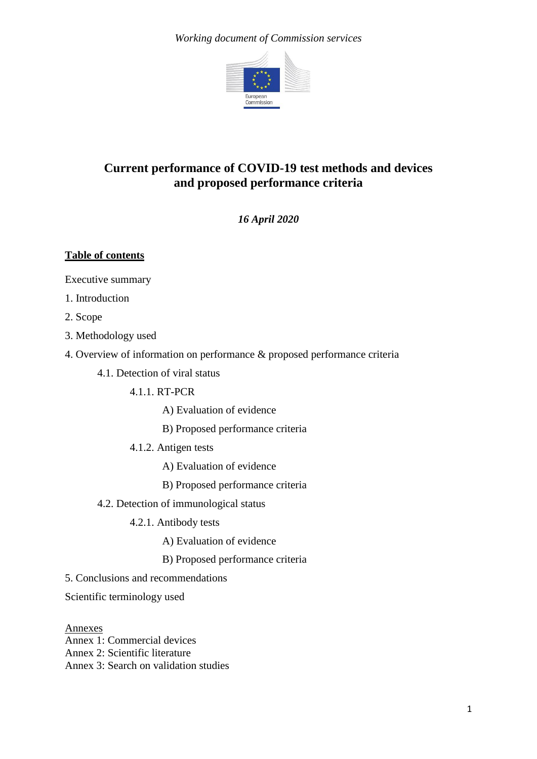### *Working document of Commission services*



# **Current performance of COVID-19 test methods and devices and proposed performance criteria**

*16 April 2020*

## **Table of contents**

Executive summary

- 1. Introduction
- 2. Scope
- 3. Methodology used
- 4. Overview of information on performance & proposed performance criteria
	- 4.1. Detection of viral status
		- 4.1.1. RT-PCR
			- A) Evaluation of evidence
			- B) Proposed performance criteria
		- 4.1.2. Antigen tests
			- A) Evaluation of evidence
			- B) Proposed performance criteria
	- 4.2. Detection of immunological status
		- 4.2.1. Antibody tests
			- A) Evaluation of evidence
			- B) Proposed performance criteria
- 5. Conclusions and recommendations

Scientific terminology used

Annexes Annex 1: Commercial devices Annex 2: Scientific literature Annex 3: Search on validation studies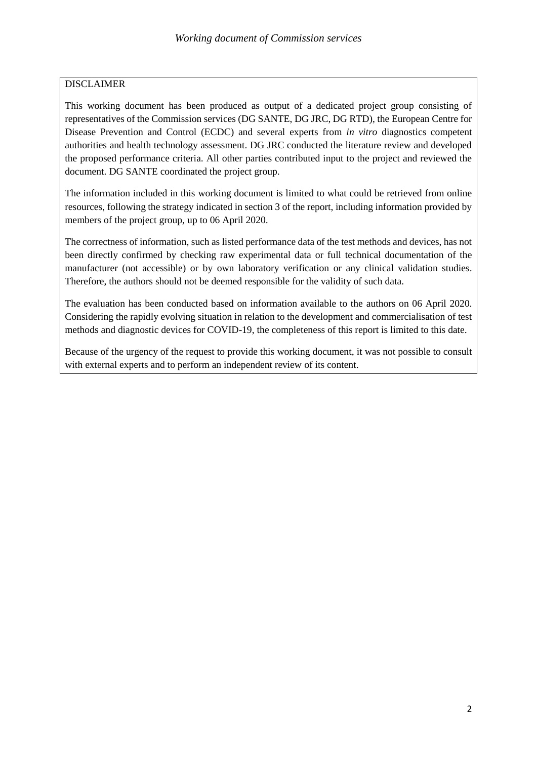#### DISCLAIMER

This working document has been produced as output of a dedicated project group consisting of representatives of the Commission services (DG SANTE, DG JRC, DG RTD), the European Centre for Disease Prevention and Control (ECDC) and several experts from *in vitro* diagnostics competent authorities and health technology assessment. DG JRC conducted the literature review and developed the proposed performance criteria. All other parties contributed input to the project and reviewed the document. DG SANTE coordinated the project group.

The information included in this working document is limited to what could be retrieved from online resources, following the strategy indicated in section 3 of the report, including information provided by members of the project group, up to 06 April 2020.

The correctness of information, such as listed performance data of the test methods and devices, has not been directly confirmed by checking raw experimental data or full technical documentation of the manufacturer (not accessible) or by own laboratory verification or any clinical validation studies. Therefore, the authors should not be deemed responsible for the validity of such data.

The evaluation has been conducted based on information available to the authors on 06 April 2020. Considering the rapidly evolving situation in relation to the development and commercialisation of test methods and diagnostic devices for COVID-19, the completeness of this report is limited to this date.

Because of the urgency of the request to provide this working document, it was not possible to consult with external experts and to perform an independent review of its content.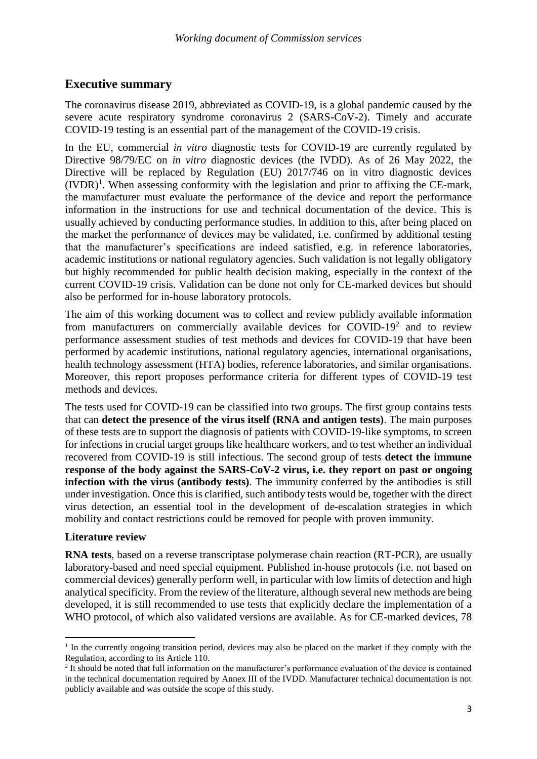# **Executive summary**

The coronavirus disease 2019, abbreviated as COVID-19, is a global pandemic caused by the severe acute respiratory syndrome coronavirus 2 (SARS-CoV-2). Timely and accurate COVID-19 testing is an essential part of the management of the COVID-19 crisis.

In the EU, commercial *in vitro* diagnostic tests for COVID-19 are currently regulated by Directive 98/79/EC on *in vitro* diagnostic devices (the IVDD). As of 26 May 2022, the Directive will be replaced by Regulation (EU) 2017/746 on in vitro diagnostic devices  $(IVDR)^1$ . When assessing conformity with the legislation and prior to affixing the CE-mark, the manufacturer must evaluate the performance of the device and report the performance information in the instructions for use and technical documentation of the device. This is usually achieved by conducting performance studies. In addition to this, after being placed on the market the performance of devices may be validated, i.e. confirmed by additional testing that the manufacturer's specifications are indeed satisfied, e.g. in reference laboratories, academic institutions or national regulatory agencies. Such validation is not legally obligatory but highly recommended for public health decision making, especially in the context of the current COVID-19 crisis. Validation can be done not only for CE-marked devices but should also be performed for in-house laboratory protocols.

The aim of this working document was to collect and review publicly available information from manufacturers on commercially available devices for COVID-19<sup>2</sup> and to review performance assessment studies of test methods and devices for COVID-19 that have been performed by academic institutions, national regulatory agencies, international organisations, health technology assessment (HTA) bodies, reference laboratories, and similar organisations. Moreover, this report proposes performance criteria for different types of COVID-19 test methods and devices.

The tests used for COVID-19 can be classified into two groups. The first group contains tests that can **detect the presence of the virus itself (RNA and antigen tests)**. The main purposes of these tests are to support the diagnosis of patients with COVID-19-like symptoms, to screen for infections in crucial target groups like healthcare workers, and to test whether an individual recovered from COVID-19 is still infectious. The second group of tests **detect the immune response of the body against the SARS-CoV-2 virus, i.e. they report on past or ongoing infection with the virus (antibody tests)**. The immunity conferred by the antibodies is still under investigation. Once this is clarified, such antibody tests would be, together with the direct virus detection, an essential tool in the development of de-escalation strategies in which mobility and contact restrictions could be removed for people with proven immunity.

## **Literature review**

1

**RNA tests**, based on a reverse transcriptase polymerase chain reaction (RT-PCR), are usually laboratory-based and need special equipment. Published in-house protocols (i.e. not based on commercial devices) generally perform well, in particular with low limits of detection and high analytical specificity. From the review of the literature, although several new methods are being developed, it is still recommended to use tests that explicitly declare the implementation of a WHO protocol, of which also validated versions are available. As for CE-marked devices, 78

<sup>&</sup>lt;sup>1</sup> In the currently ongoing transition period, devices may also be placed on the market if they comply with the Regulation, according to its Article 110.

<sup>&</sup>lt;sup>2</sup> It should be noted that full information on the manufacturer's performance evaluation of the device is contained in the technical documentation required by Annex III of the IVDD. Manufacturer technical documentation is not publicly available and was outside the scope of this study.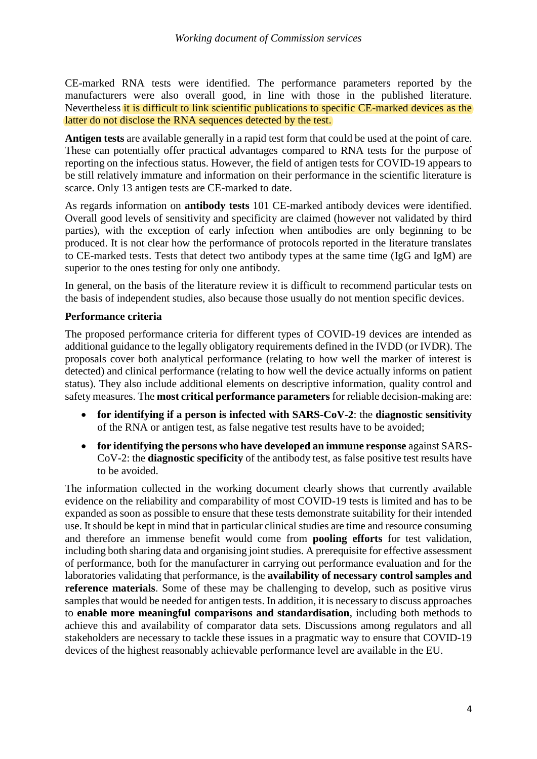CE-marked RNA tests were identified. The performance parameters reported by the manufacturers were also overall good, in line with those in the published literature. Nevertheless it is difficult to link scientific publications to specific CE-marked devices as the latter do not disclose the RNA sequences detected by the test.

**Antigen tests** are available generally in a rapid test form that could be used at the point of care. These can potentially offer practical advantages compared to RNA tests for the purpose of reporting on the infectious status. However, the field of antigen tests for COVID-19 appears to be still relatively immature and information on their performance in the scientific literature is scarce. Only 13 antigen tests are CE-marked to date.

As regards information on **antibody tests** 101 CE-marked antibody devices were identified. Overall good levels of sensitivity and specificity are claimed (however not validated by third parties), with the exception of early infection when antibodies are only beginning to be produced. It is not clear how the performance of protocols reported in the literature translates to CE-marked tests. Tests that detect two antibody types at the same time (IgG and IgM) are superior to the ones testing for only one antibody.

In general, on the basis of the literature review it is difficult to recommend particular tests on the basis of independent studies, also because those usually do not mention specific devices.

#### **Performance criteria**

The proposed performance criteria for different types of COVID-19 devices are intended as additional guidance to the legally obligatory requirements defined in the IVDD (or IVDR). The proposals cover both analytical performance (relating to how well the marker of interest is detected) and clinical performance (relating to how well the device actually informs on patient status). They also include additional elements on descriptive information, quality control and safety measures. The **most critical performance parameters** for reliable decision-making are:

- **for identifying if a person is infected with SARS-CoV-2**: the **diagnostic sensitivity** of the RNA or antigen test, as false negative test results have to be avoided;
- **for identifying the persons who have developed an immune response** against SARS-CoV-2: the **diagnostic specificity** of the antibody test, as false positive test results have to be avoided.

The information collected in the working document clearly shows that currently available evidence on the reliability and comparability of most COVID-19 tests is limited and has to be expanded as soon as possible to ensure that these tests demonstrate suitability for their intended use. It should be kept in mind that in particular clinical studies are time and resource consuming and therefore an immense benefit would come from **pooling efforts** for test validation, including both sharing data and organising joint studies. A prerequisite for effective assessment of performance, both for the manufacturer in carrying out performance evaluation and for the laboratories validating that performance, is the **availability of necessary control samples and reference materials**. Some of these may be challenging to develop, such as positive virus samples that would be needed for antigen tests. In addition, it is necessary to discuss approaches to **enable more meaningful comparisons and standardisation**, including both methods to achieve this and availability of comparator data sets. Discussions among regulators and all stakeholders are necessary to tackle these issues in a pragmatic way to ensure that COVID-19 devices of the highest reasonably achievable performance level are available in the EU.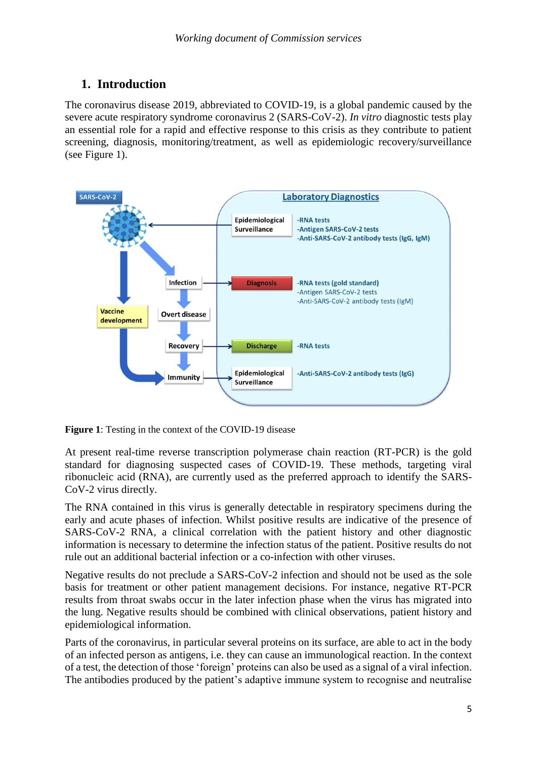# **1. Introduction**

The coronavirus disease 2019, abbreviated to COVID-19, is a global pandemic caused by the severe acute respiratory syndrome coronavirus 2 (SARS-CoV-2). *In vitro* diagnostic tests play an essential role for a rapid and effective response to this crisis as they contribute to patient screening, diagnosis, monitoring/treatment, as well as epidemiologic recovery/surveillance (see Figure 1).



**Figure 1**: Testing in the context of the COVID-19 disease

At present real-time reverse transcription polymerase chain reaction (RT-PCR) is the gold standard for diagnosing suspected cases of COVID-19. These methods, targeting viral ribonucleic acid (RNA), are currently used as the preferred approach to identify the SARS-CoV-2 virus directly.

The RNA contained in this virus is generally detectable in respiratory specimens during the early and acute phases of infection. Whilst positive results are indicative of the presence of SARS-CoV-2 RNA, a clinical correlation with the patient history and other diagnostic information is necessary to determine the infection status of the patient. Positive results do not rule out an additional bacterial infection or a co-infection with other viruses.

Negative results do not preclude a SARS-CoV-2 infection and should not be used as the sole basis for treatment or other patient management decisions. For instance, negative RT-PCR results from throat swabs occur in the later infection phase when the virus has migrated into the lung. Negative results should be combined with clinical observations, patient history and epidemiological information.

Parts of the coronavirus, in particular several proteins on its surface, are able to act in the body of an infected person as antigens, i.e. they can cause an immunological reaction. In the context of a test, the detection of those 'foreign' proteins can also be used as a signal of a viral infection. The antibodies produced by the patient's adaptive immune system to recognise and neutralise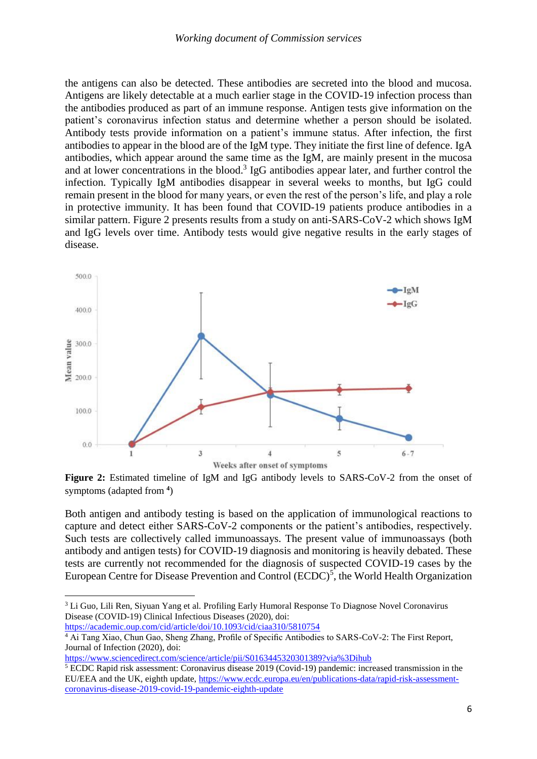the antigens can also be detected. These antibodies are secreted into the blood and mucosa. Antigens are likely detectable at a much earlier stage in the COVID-19 infection process than the antibodies produced as part of an immune response. Antigen tests give information on the patient's coronavirus infection status and determine whether a person should be isolated. Antibody tests provide information on a patient's immune status. After infection, the first antibodies to appear in the blood are of the IgM type. They initiate the first line of defence. IgA antibodies, which appear around the same time as the IgM, are mainly present in the mucosa and at lower concentrations in the blood. 3 IgG antibodies appear later, and further control the infection. Typically IgM antibodies disappear in several weeks to months, but IgG could remain present in the blood for many years, or even the rest of the person's life, and play a role in protective immunity. It has been found that COVID-19 patients produce antibodies in a similar pattern. Figure 2 presents results from a study on anti-SARS-CoV-2 which shows IgM and IgG levels over time. Antibody tests would give negative results in the early stages of disease.



**Figure 2:** Estimated timeline of IgM and IgG antibody levels to SARS-CoV-2 from the onset of symptoms (adapted from **<sup>4</sup>** )

Both antigen and antibody testing is based on the application of immunological reactions to capture and detect either SARS-CoV-2 components or the patient's antibodies, respectively. Such tests are collectively called immunoassays. The present value of immunoassays (both antibody and antigen tests) for COVID-19 diagnosis and monitoring is heavily debated. These tests are currently not recommended for the diagnosis of suspected COVID-19 cases by the European Centre for Disease Prevention and Control  $(ECDC)^5$ , the World Health Organization

<span id="page-5-0"></span> $\overline{a}$ 

<https://www.sciencedirect.com/science/article/pii/S0163445320301389?via%3Dihub>

<sup>&</sup>lt;sup>3</sup> Li Guo, Lili Ren, Siyuan Yang et al. Profiling Early Humoral Response To Diagnose Novel Coronavirus Disease (COVID-19) Clinical Infectious Diseases (2020), doi:

<https://academic.oup.com/cid/article/doi/10.1093/cid/ciaa310/5810754>

<sup>&</sup>lt;sup>4</sup> Ai Tang Xiao, Chun Gao, Sheng Zhang, Profile of Specific Antibodies to SARS-CoV-2: The First Report, Journal of Infection (2020), doi:

<sup>5</sup> ECDC Rapid risk assessment: Coronavirus disease 2019 (Covid-19) pandemic: increased transmission in the EU/EEA and the UK, eighth update, [https://www.ecdc.europa.eu/en/publications-data/rapid-risk-assessment](https://www.ecdc.europa.eu/en/publications-data/rapid-risk-assessment-coronavirus-disease-2019-covid-19-pandemic-eighth-update)[coronavirus-disease-2019-covid-19-pandemic-eighth-update](https://www.ecdc.europa.eu/en/publications-data/rapid-risk-assessment-coronavirus-disease-2019-covid-19-pandemic-eighth-update)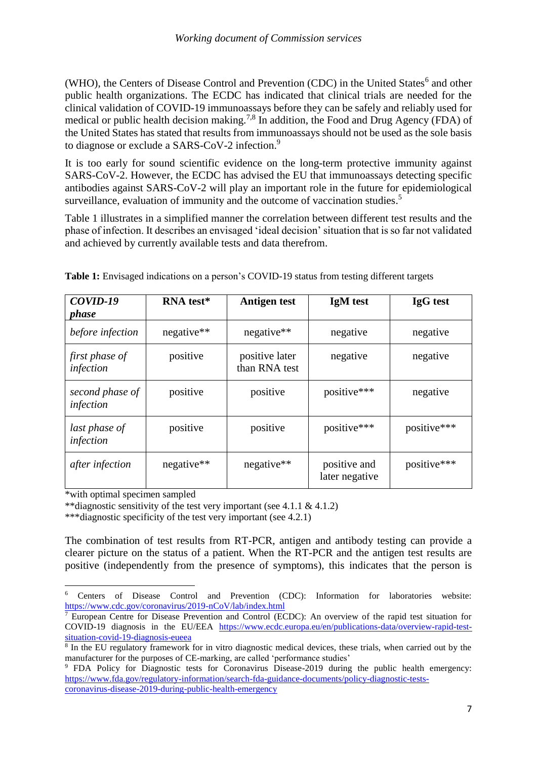(WHO), the Centers of Disease Control and Prevention (CDC) in the United States<sup>6</sup> and other public health organizations. The ECDC has indicated that clinical trials are needed for the clinical validation of COVID-19 immunoassays before they can be safely and reliably used for medical or public health decision making.<sup>7,8</sup> In addition, the Food and Drug Agency (FDA) of the United States has stated that results from immunoassays should not be used as the sole basis to diagnose or exclude a SARS-CoV-2 infection.<sup>9</sup>

It is too early for sound scientific evidence on the long-term protective immunity against SARS-CoV-2. However, the ECDC has advised the EU that immunoassays detecting specific antibodies against SARS-CoV-2 will play an important role in the future for epidemiological surveillance, evaluation of immunity and the outcome of vaccination studies.<sup>[5](#page-5-0)</sup>

Table 1 illustrates in a simplified manner the correlation between different test results and the phase of infection. It describes an envisaged 'ideal decision' situation that is so far not validated and achieved by currently available tests and data therefrom.

| COVID-19<br><i>phase</i>     | RNA test*    | <b>Antigen test</b>             | IgM test                       | <b>IgG</b> test |
|------------------------------|--------------|---------------------------------|--------------------------------|-----------------|
| before infection             | $negative**$ | negative**                      | negative                       | negative        |
| first phase of<br>infection  | positive     | positive later<br>than RNA test | negative                       | negative        |
| second phase of<br>infection | positive     | positive                        | positive***                    | negative        |
| last phase of<br>infection   | positive     | positive                        | positive***                    | positive***     |
| after infection              | negative**   | $negative**$                    | positive and<br>later negative | positive***     |

**Table 1:** Envisaged indications on a person's COVID-19 status from testing different targets

\*with optimal specimen sampled

**.** 

\*\*diagnostic sensitivity of the test very important (see 4.1.1  $\&$  4.1.2)

\*\*\*diagnostic specificity of the test very important (see 4.2.1)

The combination of test results from RT-PCR, antigen and antibody testing can provide a clearer picture on the status of a patient. When the RT-PCR and the antigen test results are positive (independently from the presence of symptoms), this indicates that the person is

<sup>6</sup> Centers of Disease Control and Prevention (CDC): Information for laboratories website: <https://www.cdc.gov/coronavirus/2019-nCoV/lab/index.html>

 $\frac{7}{7}$  European Centre for Disease Prevention and Control (ECDC): An overview of the rapid test situation for COVID-19 diagnosis in the EU/EEA [https://www.ecdc.europa.eu/en/publications-data/overview-rapid-test](https://www.ecdc.europa.eu/en/publications-data/overview-rapid-test-situation-covid-19-diagnosis-eueea)[situation-covid-19-diagnosis-eueea](https://www.ecdc.europa.eu/en/publications-data/overview-rapid-test-situation-covid-19-diagnosis-eueea)

<sup>8</sup> In the EU regulatory framework for in vitro diagnostic medical devices, these trials, when carried out by the manufacturer for the purposes of CE-marking, are called 'performance studies'

<sup>&</sup>lt;sup>9</sup> FDA Policy for Diagnostic tests for Coronavirus Disease-2019 during the public health emergency: [https://www.fda.gov/regulatory-information/search-fda-guidance-documents/policy-diagnostic-tests](https://www.fda.gov/regulatory-information/search-fda-guidance-documents/policy-diagnostic-tests-coronavirus-disease-2019-during-public-health-emergency)[coronavirus-disease-2019-during-public-health-emergency](https://www.fda.gov/regulatory-information/search-fda-guidance-documents/policy-diagnostic-tests-coronavirus-disease-2019-during-public-health-emergency)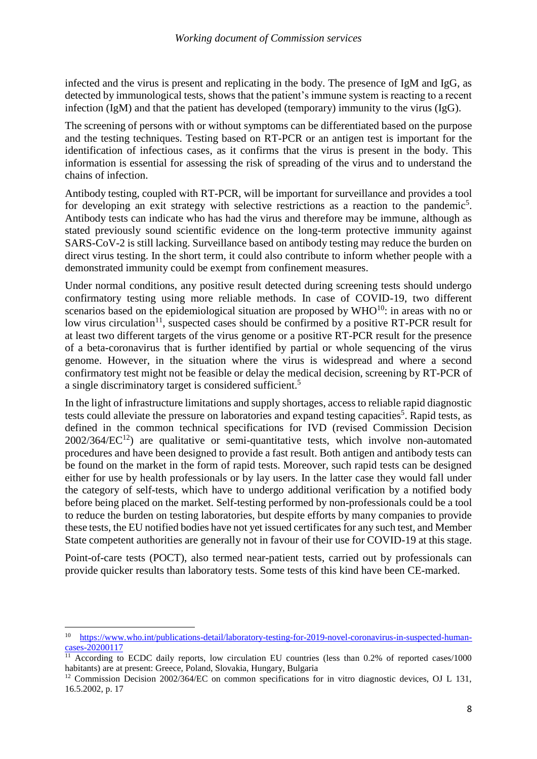infected and the virus is present and replicating in the body. The presence of IgM and IgG, as detected by immunological tests, shows that the patient's immune system is reacting to a recent infection (IgM) and that the patient has developed (temporary) immunity to the virus (IgG).

The screening of persons with or without symptoms can be differentiated based on the purpose and the testing techniques. Testing based on RT-PCR or an antigen test is important for the identification of infectious cases, as it confirms that the virus is present in the body. This information is essential for assessing the risk of spreading of the virus and to understand the chains of infection.

Antibody testing, coupled with RT-PCR, will be important for surveillance and provides a tool for developing an exit strategy with selective restrictions as a reaction to the pandemic<sup>[5](#page-5-0)</sup>. Antibody tests can indicate who has had the virus and therefore may be immune, although as stated previously sound scientific evidence on the long-term protective immunity against SARS-CoV-2 is still lacking. Surveillance based on antibody testing may reduce the burden on direct virus testing. In the short term, it could also contribute to inform whether people with a demonstrated immunity could be exempt from confinement measures.

Under normal conditions, any positive result detected during screening tests should undergo confirmatory testing using more reliable methods. In case of COVID-19, two different scenarios based on the epidemiological situation are proposed by  $WHO^{10}$ : in areas with no or low virus circulation<sup>11</sup>, suspected cases should be confirmed by a positive RT-PCR result for at least two different targets of the virus genome or a positive RT-PCR result for the presence of a beta-coronavirus that is further identified by partial or whole sequencing of the virus genome. However, in the situation where the virus is widespread and where a second confirmatory test might not be feasible or delay the medical decision, screening by RT-PCR of a single discriminatory target is considered sufficient.<sup>[5](#page-5-0)</sup>

In the light of infrastructure limitations and supply shortages, access to reliable rapid diagnostic tests could alleviate the pressure on laboratories and expand testing capacities<sup>[5](#page-5-0)</sup>. Rapid tests, as defined in the common technical specifications for IVD (revised Commission Decision  $2002/364/EC^{12}$  are qualitative or semi-quantitative tests, which involve non-automated procedures and have been designed to provide a fast result. Both antigen and antibody tests can be found on the market in the form of rapid tests. Moreover, such rapid tests can be designed either for use by health professionals or by lay users. In the latter case they would fall under the category of self-tests, which have to undergo additional verification by a notified body before being placed on the market. Self-testing performed by non-professionals could be a tool to reduce the burden on testing laboratories, but despite efforts by many companies to provide these tests, the EU notified bodies have not yet issued certificates for any such test, and Member State competent authorities are generally not in favour of their use for COVID-19 at this stage.

Point-of-care tests (POCT), also termed near-patient tests, carried out by professionals can provide quicker results than laboratory tests. Some tests of this kind have been CE-marked.

**.** 

<sup>&</sup>lt;sup>10</sup> [https://www.who.int/publications-detail/laboratory-testing-for-2019-novel-coronavirus-in-suspected-human](https://www.who.int/publications-detail/laboratory-testing-for-2019-novel-coronavirus-in-suspected-human-cases-20200117)[cases-20200117](https://www.who.int/publications-detail/laboratory-testing-for-2019-novel-coronavirus-in-suspected-human-cases-20200117)

<sup>&</sup>lt;sup>11</sup> According to ECDC daily reports, low circulation EU countries (less than 0.2% of reported cases/1000 habitants) are at present: Greece, Poland, Slovakia, Hungary, Bulgaria

<sup>&</sup>lt;sup>12</sup> Commission Decision 2002/364/EC on common specifications for in vitro diagnostic devices, OJ L 131, 16.5.2002, p. 17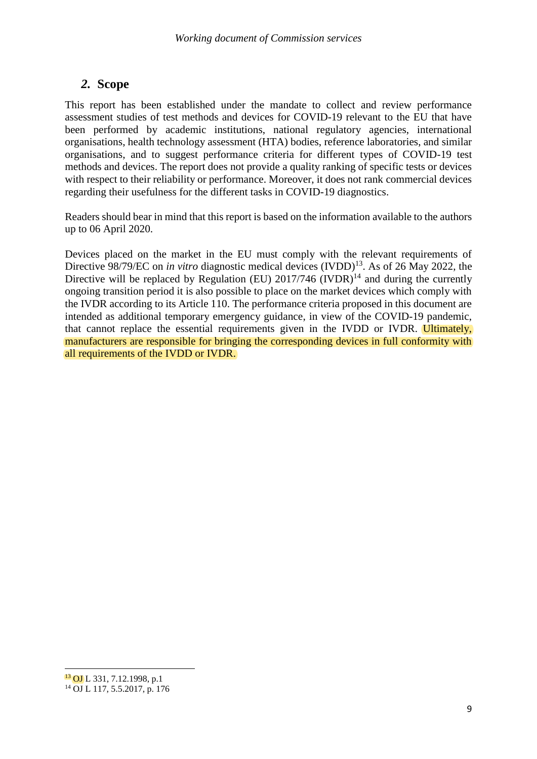# *2.* **Scope**

This report has been established under the mandate to collect and review performance assessment studies of test methods and devices for COVID-19 relevant to the EU that have been performed by academic institutions, national regulatory agencies, international organisations, health technology assessment (HTA) bodies, reference laboratories, and similar organisations, and to suggest performance criteria for different types of COVID-19 test methods and devices. The report does not provide a quality ranking of specific tests or devices with respect to their reliability or performance. Moreover, it does not rank commercial devices regarding their usefulness for the different tasks in COVID-19 diagnostics.

Readers should bear in mind that this report is based on the information available to the authors up to 06 April 2020.

Devices placed on the market in the EU must comply with the relevant requirements of Directive 98/79/EC on *in vitro* diagnostic medical devices (IVDD)<sup>13</sup>. As of 26 May 2022, the Directive will be replaced by Regulation (EU)  $2017/746$  (IVDR)<sup>14</sup> and during the currently ongoing transition period it is also possible to place on the market devices which comply with the IVDR according to its Article 110. The performance criteria proposed in this document are intended as additional temporary emergency guidance, in view of the COVID-19 pandemic, that cannot replace the essential requirements given in the IVDD or IVDR. Ultimately, manufacturers are responsible for bringing the corresponding devices in full conformity with all requirements of the IVDD or IVDR.

1

<sup>13</sup> OJ L 331, 7.12.1998, p.1

 $14$  OJ L 117, 5.5.2017, p. 176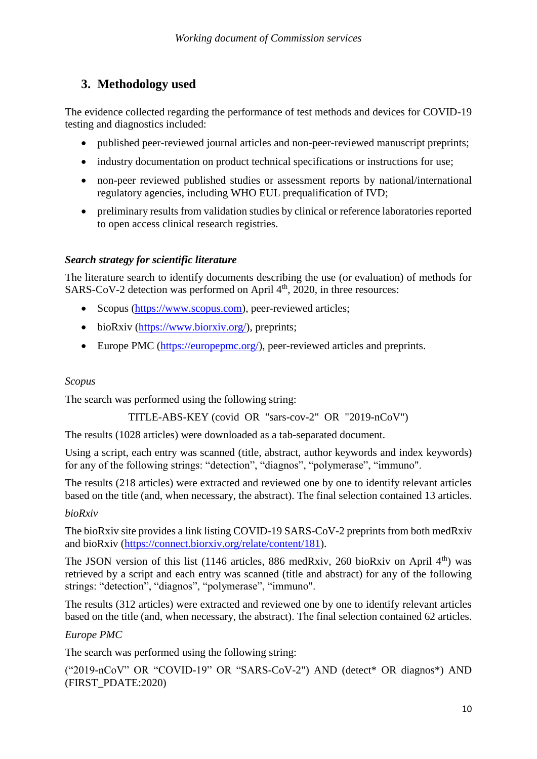# **3. Methodology used**

The evidence collected regarding the performance of test methods and devices for COVID-19 testing and diagnostics included:

- published peer-reviewed journal articles and non-peer-reviewed manuscript preprints;
- industry documentation on product technical specifications or instructions for use;
- non-peer reviewed published studies or assessment reports by national/international regulatory agencies, including WHO EUL prequalification of IVD;
- preliminary results from validation studies by clinical or reference laboratories reported to open access clinical research registries.

# *Search strategy for scientific literature*

The literature search to identify documents describing the use (or evaluation) of methods for SARS-CoV-2 detection was performed on April  $4<sup>th</sup>$ , 2020, in three resources:

- Scopus [\(https://www.scopus.com\)](https://www.scopus.com/), peer-reviewed articles;
- bioRxiv [\(https://www.biorxiv.org/\)](https://www.biorxiv.org/), preprints;
- Europe PMC [\(https://europepmc.org/\)](https://europepmc.org/), peer-reviewed articles and preprints.

# *Scopus*

The search was performed using the following string:

```
TITLE-ABS-KEY (covid OR "sars-cov-2" OR "2019-nCoV")
```
The results (1028 articles) were downloaded as a tab-separated document.

Using a script, each entry was scanned (title, abstract, author keywords and index keywords) for any of the following strings: "detection", "diagnos", "polymerase", "immuno".

The results (218 articles) were extracted and reviewed one by one to identify relevant articles based on the title (and, when necessary, the abstract). The final selection contained 13 articles.

# *bioRxiv*

The bioRxiv site provides a link listing COVID-19 SARS-CoV-2 preprints from both medRxiv and bioRxiv [\(https://connect.biorxiv.org/relate/content/181\)](https://connect.biorxiv.org/relate/content/181).

The JSON version of this list (1146 articles, 886 med $Rxiv$ , 260 bioRxiv on April 4<sup>th</sup>) was retrieved by a script and each entry was scanned (title and abstract) for any of the following strings: "detection", "diagnos", "polymerase", "immuno".

The results (312 articles) were extracted and reviewed one by one to identify relevant articles based on the title (and, when necessary, the abstract). The final selection contained 62 articles.

# *Europe PMC*

The search was performed using the following string:

("2019-nCoV" OR "COVID-19" OR "SARS-CoV-2") AND (detect\* OR diagnos\*) AND (FIRST\_PDATE:2020)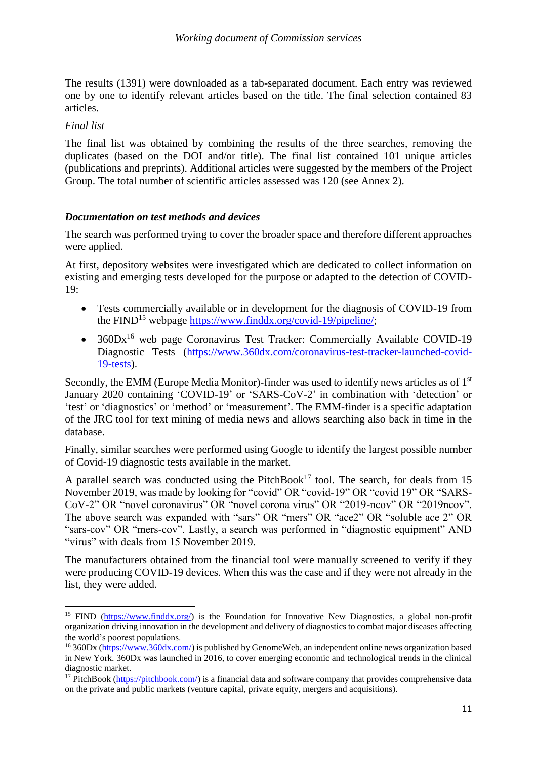The results (1391) were downloaded as a tab-separated document. Each entry was reviewed one by one to identify relevant articles based on the title. The final selection contained 83 articles.

#### *Final list*

The final list was obtained by combining the results of the three searches, removing the duplicates (based on the DOI and/or title). The final list contained 101 unique articles (publications and preprints). Additional articles were suggested by the members of the Project Group. The total number of scientific articles assessed was 120 (see Annex 2).

#### *Documentation on test methods and devices*

The search was performed trying to cover the broader space and therefore different approaches were applied.

At first, depository websites were investigated which are dedicated to collect information on existing and emerging tests developed for the purpose or adapted to the detection of COVID-19:

- Tests commercially available or in development for the diagnosis of COVID-19 from the FIND<sup>15</sup> webpage [https://www.finddx.org/covid-19/pipeline/;](https://www.finddx.org/covid-19/pipeline/)
- $\bullet$  360Dx<sup>16</sup> web page Coronavirus Test Tracker: Commercially Available COVID-19 Diagnostic Tests [\(https://www.360dx.com/coronavirus-test-tracker-launched-covid-](https://www.360dx.com/coronavirus-test-tracker-launched-covid-19-tests)[19-tests\)](https://www.360dx.com/coronavirus-test-tracker-launched-covid-19-tests).

Secondly, the EMM (Europe Media Monitor)-finder was used to identify news articles as of 1<sup>st</sup> January 2020 containing 'COVID-19' or 'SARS-CoV-2' in combination with 'detection' or 'test' or 'diagnostics' or 'method' or 'measurement'. The EMM-finder is a specific adaptation of the JRC tool for text mining of media news and allows searching also back in time in the database.

Finally, similar searches were performed using Google to identify the largest possible number of Covid-19 diagnostic tests available in the market.

A parallel search was conducted using the PitchBook<sup>17</sup> tool. The search, for deals from 15 November 2019, was made by looking for "covid" OR "covid-19" OR "covid 19" OR "SARS-CoV-2" OR "novel coronavirus" OR "novel corona virus" OR "2019-ncov" OR "2019ncov". The above search was expanded with "sars" OR "mers" OR "ace2" OR "soluble ace 2" OR "sars-cov" OR "mers-cov". Lastly, a search was performed in "diagnostic equipment" AND "virus" with deals from 15 November 2019.

The manufacturers obtained from the financial tool were manually screened to verify if they were producing COVID-19 devices. When this was the case and if they were not already in the list, they were added.

<sup>1</sup> <sup>15</sup> FIND [\(https://www.finddx.org/\)](https://www.finddx.org/) is the Foundation for Innovative New Diagnostics, a global non-profit organization driving innovation in the development and delivery of diagnostics to combat major diseases affecting the world's poorest populations.

<sup>16</sup> 360Dx [\(https://www.360dx.com/\)](https://www.360dx.com/) is published by GenomeWeb, an independent online news organization based in New York. 360Dx was launched in 2016, to cover emerging economic and technological trends in the clinical diagnostic market.

<sup>&</sup>lt;sup>17</sup> PitchBook [\(https://pitchbook.com/\)](https://pitchbook.com/) is a financial data and software company that provides comprehensive data on the private and public markets (venture capital, private equity, mergers and acquisitions).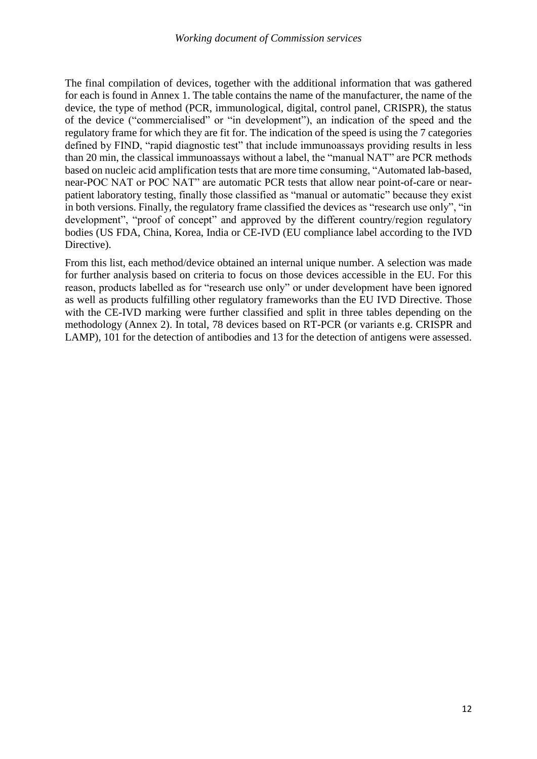The final compilation of devices, together with the additional information that was gathered for each is found in Annex 1. The table contains the name of the manufacturer, the name of the device, the type of method (PCR, immunological, digital, control panel, CRISPR), the status of the device ("commercialised" or "in development"), an indication of the speed and the regulatory frame for which they are fit for. The indication of the speed is using the 7 categories defined by FIND, "rapid diagnostic test" that include immunoassays providing results in less than 20 min, the classical immunoassays without a label, the "manual NAT" are PCR methods based on nucleic acid amplification tests that are more time consuming, "Automated lab-based, near-POC NAT or POC NAT" are automatic PCR tests that allow near point-of-care or nearpatient laboratory testing, finally those classified as "manual or automatic" because they exist in both versions. Finally, the regulatory frame classified the devices as "research use only", "in development", "proof of concept" and approved by the different country/region regulatory bodies (US FDA, China, Korea, India or CE-IVD (EU compliance label according to the IVD Directive).

From this list, each method/device obtained an internal unique number. A selection was made for further analysis based on criteria to focus on those devices accessible in the EU. For this reason, products labelled as for "research use only" or under development have been ignored as well as products fulfilling other regulatory frameworks than the EU IVD Directive. Those with the CE-IVD marking were further classified and split in three tables depending on the methodology (Annex 2). In total, 78 devices based on RT-PCR (or variants e.g. CRISPR and LAMP), 101 for the detection of antibodies and 13 for the detection of antigens were assessed.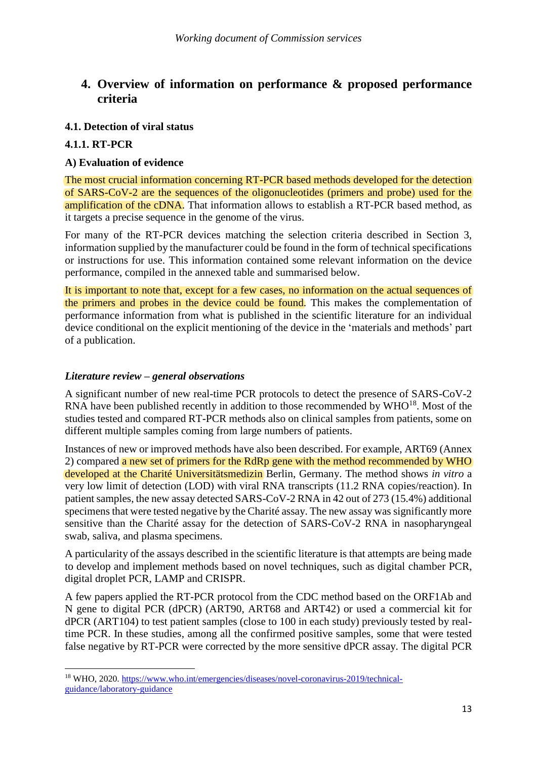# **4. Overview of information on performance & proposed performance criteria**

## **4.1. Detection of viral status**

## **4.1.1. RT-PCR**

1

## **A) Evaluation of evidence**

The most crucial information concerning RT-PCR based methods developed for the detection of SARS-CoV-2 are the sequences of the oligonucleotides (primers and probe) used for the amplification of the cDNA. That information allows to establish a RT-PCR based method, as it targets a precise sequence in the genome of the virus.

For many of the RT-PCR devices matching the selection criteria described in Section 3, information supplied by the manufacturer could be found in the form of technical specifications or instructions for use. This information contained some relevant information on the device performance, compiled in the annexed table and summarised below.

It is important to note that, except for a few cases, no information on the actual sequences of the primers and probes in the device could be found. This makes the complementation of performance information from what is published in the scientific literature for an individual device conditional on the explicit mentioning of the device in the 'materials and methods' part of a publication.

### *Literature review – general observations*

A significant number of new real-time PCR protocols to detect the presence of SARS-CoV-2 RNA have been published recently in addition to those recommended by WHO<sup>18</sup>. Most of the studies tested and compared RT-PCR methods also on clinical samples from patients, some on different multiple samples coming from large numbers of patients.

Instances of new or improved methods have also been described. For example, ART69 (Annex 2) compared a new set of primers for the RdRp gene with the method recommended by WHO developed at the Charité Universitätsmedizin Berlin, Germany. The method shows *in vitro* a very low limit of detection (LOD) with viral RNA transcripts (11.2 RNA copies/reaction). In patient samples, the new assay detected SARS-CoV-2 RNA in 42 out of 273 (15.4%) additional specimens that were tested negative by the Charité assay. The new assay was significantly more sensitive than the Charité assay for the detection of SARS-CoV-2 RNA in nasopharyngeal swab, saliva, and plasma specimens.

A particularity of the assays described in the scientific literature is that attempts are being made to develop and implement methods based on novel techniques, such as digital chamber PCR, digital droplet PCR, LAMP and CRISPR.

A few papers applied the RT-PCR protocol from the CDC method based on the ORF1Ab and N gene to digital PCR (dPCR) (ART90, ART68 and ART42) or used a commercial kit for dPCR (ART104) to test patient samples (close to 100 in each study) previously tested by realtime PCR. In these studies, among all the confirmed positive samples, some that were tested false negative by RT-PCR were corrected by the more sensitive dPCR assay. The digital PCR

<sup>18</sup> WHO, 2020. [https://www.who.int/emergencies/diseases/novel-coronavirus-2019/technical](https://www.who.int/emergencies/diseases/novel-coronavirus-2019/technical-guidance/laboratory-guidance)[guidance/laboratory-guidance](https://www.who.int/emergencies/diseases/novel-coronavirus-2019/technical-guidance/laboratory-guidance)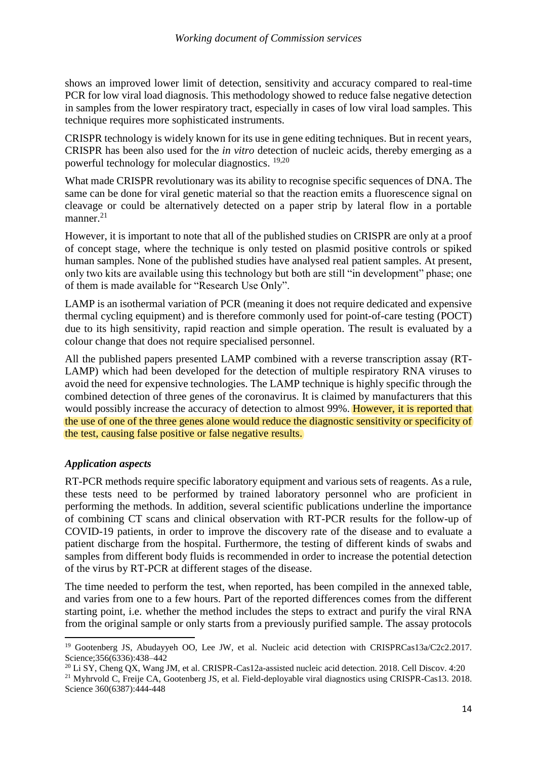shows an improved lower limit of detection, sensitivity and accuracy compared to real-time PCR for low viral load diagnosis. This methodology showed to reduce false negative detection in samples from the lower respiratory tract, especially in cases of low viral load samples. This technique requires more sophisticated instruments.

CRISPR technology is widely known for its use in gene editing techniques. But in recent years, CRISPR has been also used for the *in vitro* detection of nucleic acids, thereby emerging as a powerful technology for molecular diagnostics. <sup>19,20</sup>

What made CRISPR revolutionary was its ability to recognise specific sequences of DNA. The same can be done for viral genetic material so that the reaction emits a fluorescence signal on cleavage or could be alternatively detected on a paper strip by lateral flow in a portable manner. $21$ 

However, it is important to note that all of the published studies on CRISPR are only at a proof of concept stage, where the technique is only tested on plasmid positive controls or spiked human samples. None of the published studies have analysed real patient samples. At present, only two kits are available using this technology but both are still "in development" phase; one of them is made available for "Research Use Only".

LAMP is an isothermal variation of PCR (meaning it does not require dedicated and expensive thermal cycling equipment) and is therefore commonly used for point-of-care testing (POCT) due to its high sensitivity, rapid reaction and simple operation. The result is evaluated by a colour change that does not require specialised personnel.

All the published papers presented LAMP combined with a reverse transcription assay (RT-LAMP) which had been developed for the detection of multiple respiratory RNA viruses to avoid the need for expensive technologies. The LAMP technique is highly specific through the combined detection of three genes of the coronavirus. It is claimed by manufacturers that this would possibly increase the accuracy of detection to almost 99%. However, it is reported that the use of one of the three genes alone would reduce the diagnostic sensitivity or specificity of the test, causing false positive or false negative results.

## *Application aspects*

1

RT-PCR methods require specific laboratory equipment and various sets of reagents. As a rule, these tests need to be performed by trained laboratory personnel who are proficient in performing the methods. In addition, several scientific publications underline the importance of combining CT scans and clinical observation with RT-PCR results for the follow-up of COVID-19 patients, in order to improve the discovery rate of the disease and to evaluate a patient discharge from the hospital. Furthermore, the testing of different kinds of swabs and samples from different body fluids is recommended in order to increase the potential detection of the virus by RT-PCR at different stages of the disease.

The time needed to perform the test, when reported, has been compiled in the annexed table, and varies from one to a few hours. Part of the reported differences comes from the different starting point, i.e. whether the method includes the steps to extract and purify the viral RNA from the original sample or only starts from a previously purified sample. The assay protocols

<sup>&</sup>lt;sup>19</sup> Gootenberg JS, Abudayyeh OO, Lee JW, et al. Nucleic acid detection with CRISPRCas13a/C2c2.2017. Science;356(6336):438–442

<sup>&</sup>lt;sup>20</sup> Li SY, Cheng OX, Wang JM, et al. CRISPR-Cas12a-assisted nucleic acid detection. 2018. Cell Discov. 4:20

<sup>&</sup>lt;sup>21</sup> Myhrvold C, Freije CA, Gootenberg JS, et al. Field-deployable viral diagnostics using CRISPR-Cas13. 2018. Science 360(6387):444-448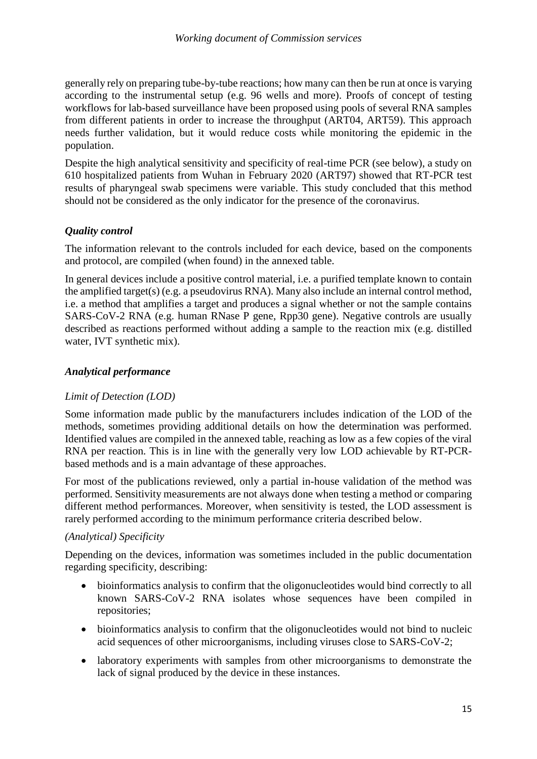generally rely on preparing tube-by-tube reactions; how many can then be run at once is varying according to the instrumental setup (e.g. 96 wells and more). Proofs of concept of testing workflows for lab-based surveillance have been proposed using pools of several RNA samples from different patients in order to increase the throughput (ART04, ART59). This approach needs further validation, but it would reduce costs while monitoring the epidemic in the population.

Despite the high analytical sensitivity and specificity of real-time PCR (see below), a study on 610 hospitalized patients from Wuhan in February 2020 (ART97) showed that RT-PCR test results of pharyngeal swab specimens were variable. This study concluded that this method should not be considered as the only indicator for the presence of the coronavirus.

## *Quality control*

The information relevant to the controls included for each device, based on the components and protocol, are compiled (when found) in the annexed table.

In general devices include a positive control material, i.e. a purified template known to contain the amplified target(s) (e.g. a pseudovirus RNA). Many also include an internal control method, i.e. a method that amplifies a target and produces a signal whether or not the sample contains SARS-CoV-2 RNA (e.g. human RNase P gene, Rpp30 gene). Negative controls are usually described as reactions performed without adding a sample to the reaction mix (e.g. distilled water, IVT synthetic mix).

## *Analytical performance*

## *Limit of Detection (LOD)*

Some information made public by the manufacturers includes indication of the LOD of the methods, sometimes providing additional details on how the determination was performed. Identified values are compiled in the annexed table, reaching as low as a few copies of the viral RNA per reaction. This is in line with the generally very low LOD achievable by RT-PCRbased methods and is a main advantage of these approaches.

For most of the publications reviewed, only a partial in-house validation of the method was performed. Sensitivity measurements are not always done when testing a method or comparing different method performances. Moreover, when sensitivity is tested, the LOD assessment is rarely performed according to the minimum performance criteria described below.

## *(Analytical) Specificity*

Depending on the devices, information was sometimes included in the public documentation regarding specificity, describing:

- bioinformatics analysis to confirm that the oligonucleotides would bind correctly to all known SARS-CoV-2 RNA isolates whose sequences have been compiled in repositories;
- bioinformatics analysis to confirm that the oligonucleotides would not bind to nucleic acid sequences of other microorganisms, including viruses close to SARS-CoV-2;
- laboratory experiments with samples from other microorganisms to demonstrate the lack of signal produced by the device in these instances.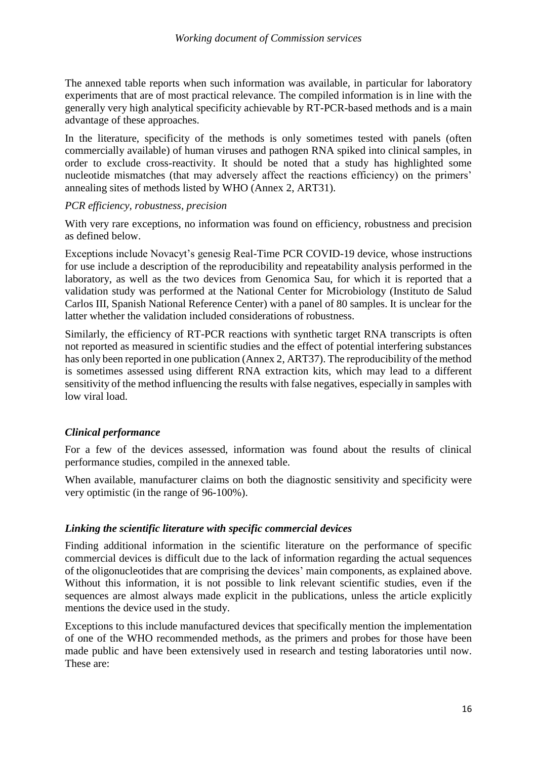The annexed table reports when such information was available, in particular for laboratory experiments that are of most practical relevance. The compiled information is in line with the generally very high analytical specificity achievable by RT-PCR-based methods and is a main advantage of these approaches.

In the literature, specificity of the methods is only sometimes tested with panels (often commercially available) of human viruses and pathogen RNA spiked into clinical samples, in order to exclude cross-reactivity. It should be noted that a study has highlighted some nucleotide mismatches (that may adversely affect the reactions efficiency) on the primers' annealing sites of methods listed by WHO (Annex 2, ART31).

#### *PCR efficiency, robustness, precision*

With very rare exceptions, no information was found on efficiency, robustness and precision as defined below.

Exceptions include Novacyt's genesig Real-Time PCR COVID-19 device, whose instructions for use include a description of the reproducibility and repeatability analysis performed in the laboratory, as well as the two devices from Genomica Sau, for which it is reported that a validation study was performed at the National Center for Microbiology (Instituto de Salud Carlos III, Spanish National Reference Center) with a panel of 80 samples. It is unclear for the latter whether the validation included considerations of robustness.

Similarly, the efficiency of RT-PCR reactions with synthetic target RNA transcripts is often not reported as measured in scientific studies and the effect of potential interfering substances has only been reported in one publication (Annex 2, ART37). The reproducibility of the method is sometimes assessed using different RNA extraction kits, which may lead to a different sensitivity of the method influencing the results with false negatives, especially in samples with low viral load.

## *Clinical performance*

For a few of the devices assessed, information was found about the results of clinical performance studies, compiled in the annexed table.

When available, manufacturer claims on both the diagnostic sensitivity and specificity were very optimistic (in the range of 96-100%).

#### *Linking the scientific literature with specific commercial devices*

Finding additional information in the scientific literature on the performance of specific commercial devices is difficult due to the lack of information regarding the actual sequences of the oligonucleotides that are comprising the devices' main components, as explained above. Without this information, it is not possible to link relevant scientific studies, even if the sequences are almost always made explicit in the publications, unless the article explicitly mentions the device used in the study.

Exceptions to this include manufactured devices that specifically mention the implementation of one of the WHO recommended methods, as the primers and probes for those have been made public and have been extensively used in research and testing laboratories until now. These are: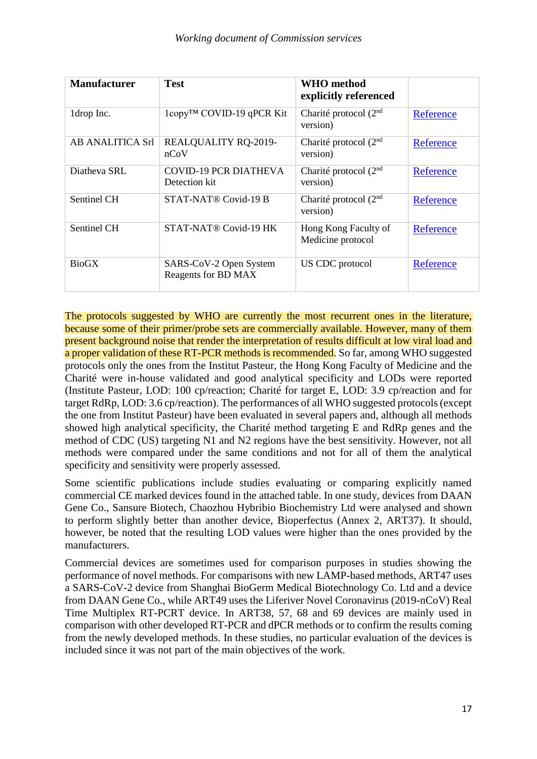| <b>Manufacturer</b> | <b>Test</b>                                   | <b>WHO</b> method<br>explicitly referenced |           |
|---------------------|-----------------------------------------------|--------------------------------------------|-----------|
| 1drop Inc.          | 1copy <sup>™</sup> COVID-19 qPCR Kit          | Charité protocol $(2nd)$<br>version)       | Reference |
| AB ANALITICA Srl    | REALQUALITY RQ-2019-<br>nCoV                  | Charité protocol $(2nd)$<br>version)       | Reference |
| Diatheva SRL        | <b>COVID-19 PCR DIATHEVA</b><br>Detection kit | Charité protocol $(2nd)$<br>version)       | Reference |
| Sentinel CH         | STAT-NAT® Covid-19 B                          | Charité protocol $(2nd)$<br>version)       | Reference |
| Sentinel CH         | STAT-NAT <sup>®</sup> Covid-19 HK             | Hong Kong Faculty of<br>Medicine protocol  | Reference |
| <b>BioGX</b>        | SARS-CoV-2 Open System<br>Reagents for BD MAX | US CDC protocol                            | Reference |

The protocols suggested by WHO are currently the most recurrent ones in the literature, because some of their primer/probe sets are commercially available. However, many of them present background noise that render the interpretation of results difficult at low viral load and a proper validation of these RT-PCR methods is recommended. So far, among WHO suggested protocols only the ones from the Institut Pasteur, the Hong Kong Faculty of Medicine and the Charité were in-house validated and good analytical specificity and LODs were reported (Institute Pasteur, LOD: 100 cp/reaction; Charité for target E, LOD: 3.9 cp/reaction and for target RdRp, LOD: 3.6 cp/reaction). The performances of all WHO suggested protocols (except the one from Institut Pasteur) have been evaluated in several papers and, although all methods showed high analytical specificity, the Charité method targeting E and RdRp genes and the method of CDC (US) targeting N1 and N2 regions have the best sensitivity. However, not all methods were compared under the same conditions and not for all of them the analytical specificity and sensitivity were properly assessed.

Some scientific publications include studies evaluating or comparing explicitly named commercial CE marked devices found in the attached table. In one study, devices from DAAN Gene Co., Sansure Biotech, Chaozhou Hybribio Biochemistry Ltd were analysed and shown to perform slightly better than another device, Bioperfectus (Annex 2, ART37). It should, however, be noted that the resulting LOD values were higher than the ones provided by the manufacturers.

Commercial devices are sometimes used for comparison purposes in studies showing the performance of novel methods. For comparisons with new LAMP-based methods, ART47 uses a SARS-CoV-2 device from Shanghai BioGerm Medical Biotechnology Co. Ltd and a device from DAAN Gene Co., while ART49 uses the Liferiver Novel Coronavirus (2019-nCoV) Real Time Multiplex RT-PCRT device. In ART38, 57, 68 and 69 devices are mainly used in comparison with other developed RT-PCR and dPCR methods or to confirm the results coming from the newly developed methods. In these studies, no particular evaluation of the devices is included since it was not part of the main objectives of the work.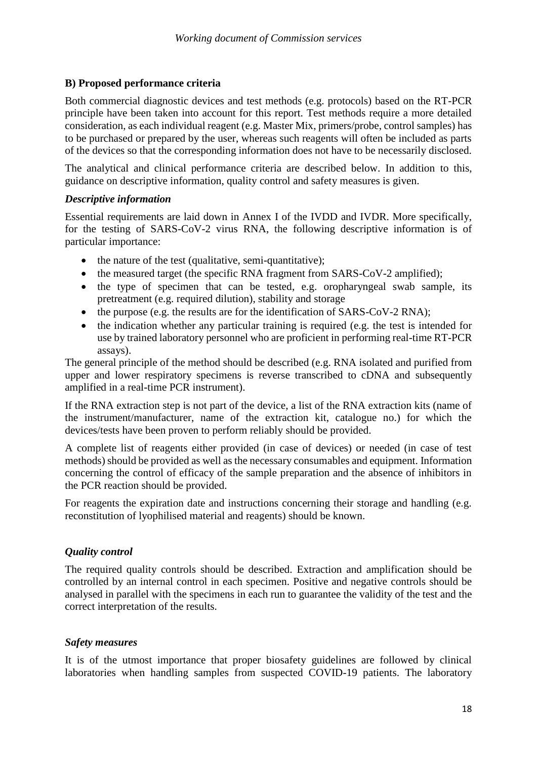## **B) Proposed performance criteria**

Both commercial diagnostic devices and test methods (e.g. protocols) based on the RT-PCR principle have been taken into account for this report. Test methods require a more detailed consideration, as each individual reagent (e.g. Master Mix, primers/probe, control samples) has to be purchased or prepared by the user, whereas such reagents will often be included as parts of the devices so that the corresponding information does not have to be necessarily disclosed.

The analytical and clinical performance criteria are described below. In addition to this, guidance on descriptive information, quality control and safety measures is given.

#### *Descriptive information*

Essential requirements are laid down in Annex I of the IVDD and IVDR. More specifically, for the testing of SARS-CoV-2 virus RNA, the following descriptive information is of particular importance:

- the nature of the test (qualitative, semi-quantitative);
- the measured target (the specific RNA fragment from SARS-CoV-2 amplified);
- the type of specimen that can be tested, e.g. oropharyngeal swab sample, its pretreatment (e.g. required dilution), stability and storage
- $\bullet$  the purpose (e.g. the results are for the identification of SARS-CoV-2 RNA);
- the indication whether any particular training is required (e.g. the test is intended for use by trained laboratory personnel who are proficient in performing real-time RT-PCR assays).

The general principle of the method should be described (e.g. RNA isolated and purified from upper and lower respiratory specimens is reverse transcribed to cDNA and subsequently amplified in a real-time PCR instrument).

If the RNA extraction step is not part of the device, a list of the RNA extraction kits (name of the instrument/manufacturer, name of the extraction kit, catalogue no.) for which the devices/tests have been proven to perform reliably should be provided.

A complete list of reagents either provided (in case of devices) or needed (in case of test methods) should be provided as well as the necessary consumables and equipment. Information concerning the control of efficacy of the sample preparation and the absence of inhibitors in the PCR reaction should be provided.

For reagents the expiration date and instructions concerning their storage and handling (e.g. reconstitution of lyophilised material and reagents) should be known.

## *Quality control*

The required quality controls should be described. Extraction and amplification should be controlled by an internal control in each specimen. Positive and negative controls should be analysed in parallel with the specimens in each run to guarantee the validity of the test and the correct interpretation of the results.

## *Safety measures*

It is of the utmost importance that proper biosafety guidelines are followed by clinical laboratories when handling samples from suspected COVID-19 patients. The [laboratory](https://www.who.int/publications-detail/laboratory-biosafety-guidance-related-to-coronavirus-disease-2019-(covid-19))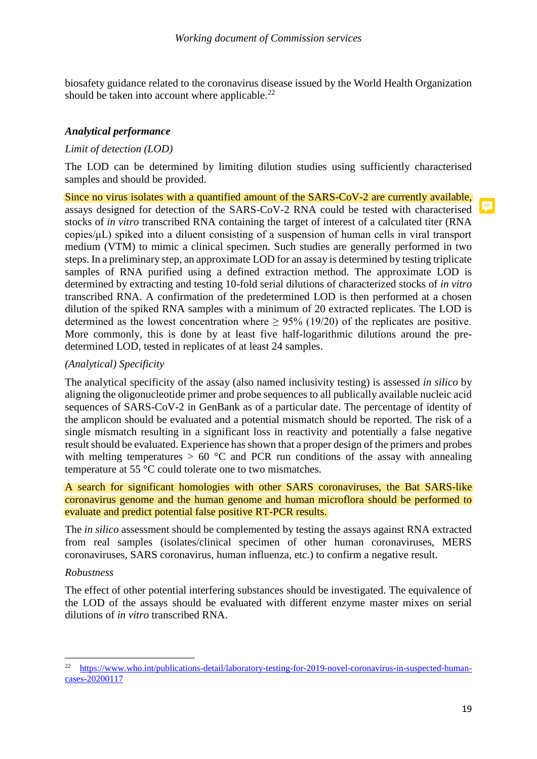[biosafety guidance related to the coronavirus disease](https://www.who.int/publications-detail/laboratory-biosafety-guidance-related-to-coronavirus-disease-2019-(covid-19)) issued by the World Health Organization should be taken into account where applicable. $^{22}$ 

## *Analytical performance*

## *Limit of detection (LOD)*

The LOD can be determined by limiting dilution studies using sufficiently characterised samples and should be provided.

Since no virus isolates with a quantified amount of the SARS-CoV-2 are currently available, assays designed for detection of the SARS-CoV-2 RNA could be tested with characterised stocks of *in vitro* transcribed RNA containing the target of interest of a calculated titer (RNA copies/μL) spiked into a diluent consisting of a suspension of human cells in viral transport medium (VTM) to mimic a clinical specimen. Such studies are generally performed in two steps. In a preliminary step, an approximate LOD for an assay is determined by testing triplicate samples of RNA purified using a defined extraction method. The approximate LOD is determined by extracting and testing 10-fold serial dilutions of characterized stocks of *in vitro* transcribed RNA. A confirmation of the predetermined LOD is then performed at a chosen dilution of the spiked RNA samples with a minimum of 20 extracted replicates. The LOD is determined as the lowest concentration where  $> 95\%$  (19/20) of the replicates are positive. More commonly, this is done by at least five half-logarithmic dilutions around the predetermined LOD, tested in replicates of at least 24 samples.

#### *(Analytical) Specificity*

The analytical specificity of the assay (also named inclusivity testing) is assessed *in silico* by aligning the oligonucleotide primer and probe sequences to all publically available nucleic acid sequences of SARS-CoV-2 in GenBank as of a particular date. The percentage of identity of the amplicon should be evaluated and a potential mismatch should be reported. The risk of a single mismatch resulting in a significant loss in reactivity and potentially a false negative result should be evaluated. Experience has shown that a proper design of the primers and probes with melting temperatures  $> 60$  °C and PCR run conditions of the assay with annealing temperature at 55 °C could tolerate one to two mismatches.

A search for significant homologies with other SARS coronaviruses, the Bat SARS-like coronavirus genome and the human genome and human microflora should be performed to evaluate and predict potential false positive RT-PCR results.

The *in silico* assessment should be complemented by testing the assays against RNA extracted from real samples (isolates/clinical specimen of other human coronaviruses, MERS coronaviruses, SARS coronavirus, human influenza, etc.) to confirm a negative result.

#### *Robustness*

 $\overline{a}$ 

The effect of other potential interfering substances should be investigated. The equivalence of the LOD of the assays should be evaluated with different enzyme master mixes on serial dilutions of *in vitro* transcribed RNA.

<sup>&</sup>lt;sup>22</sup> [https://www.who.int/publications-detail/laboratory-testing-for-2019-novel-coronavirus-in-suspected-human](https://www.who.int/publications-detail/laboratory-testing-for-2019-novel-coronavirus-in-suspected-human-cases-20200117)[cases-20200117](https://www.who.int/publications-detail/laboratory-testing-for-2019-novel-coronavirus-in-suspected-human-cases-20200117)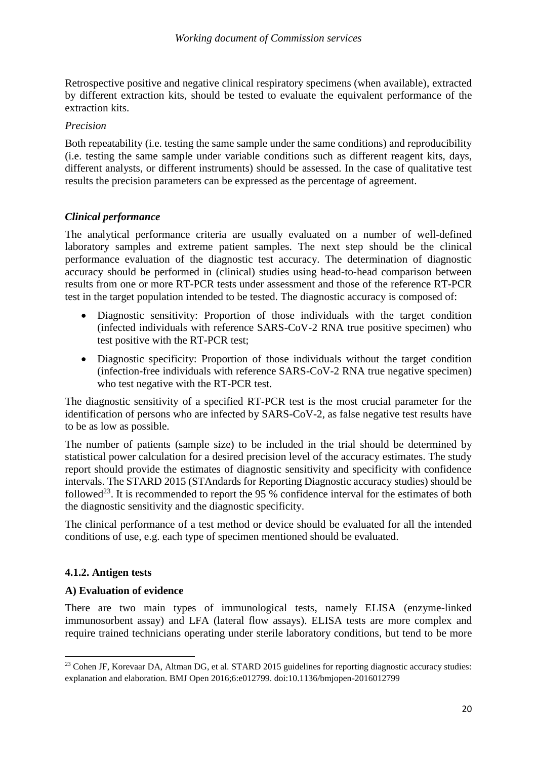Retrospective positive and negative clinical respiratory specimens (when available), extracted by different extraction kits, should be tested to evaluate the equivalent performance of the extraction kits.

#### *Precision*

Both repeatability (i.e. testing the same sample under the same conditions) and reproducibility (i.e. testing the same sample under variable conditions such as different reagent kits, days, different analysts, or different instruments) should be assessed. In the case of qualitative test results the precision parameters can be expressed as the percentage of agreement.

## *Clinical performance*

The analytical performance criteria are usually evaluated on a number of well-defined laboratory samples and extreme patient samples. The next step should be the clinical performance evaluation of the diagnostic test accuracy. The determination of diagnostic accuracy should be performed in (clinical) studies using head-to-head comparison between results from one or more RT-PCR tests under assessment and those of the reference RT-PCR test in the target population intended to be tested. The diagnostic accuracy is composed of:

- Diagnostic sensitivity: Proportion of those individuals with the target condition (infected individuals with reference SARS-CoV-2 RNA true positive specimen) who test positive with the RT-PCR test;
- Diagnostic specificity: Proportion of those individuals without the target condition (infection-free individuals with reference SARS-CoV-2 RNA true negative specimen) who test negative with the RT-PCR test.

The diagnostic sensitivity of a specified RT-PCR test is the most crucial parameter for the identification of persons who are infected by SARS-CoV-2, as false negative test results have to be as low as possible.

The number of patients (sample size) to be included in the trial should be determined by statistical power calculation for a desired precision level of the accuracy estimates. The study report should provide the estimates of diagnostic sensitivity and specificity with confidence intervals. The STARD 2015 (STAndards for Reporting Diagnostic accuracy studies) should be followed<sup>23</sup>. It is recommended to report the 95 % confidence interval for the estimates of both the diagnostic sensitivity and the diagnostic specificity.

The clinical performance of a test method or device should be evaluated for all the intended conditions of use, e.g. each type of specimen mentioned should be evaluated.

## **4.1.2. Antigen tests**

1

## **A) Evaluation of evidence**

There are two main types of immunological tests, namely ELISA (enzyme-linked immunosorbent assay) and LFA (lateral flow assays). ELISA tests are more complex and require trained technicians operating under sterile laboratory conditions, but tend to be more

<sup>&</sup>lt;sup>23</sup> Cohen JF, Korevaar DA, Altman DG, et al. STARD 2015 guidelines for reporting diagnostic accuracy studies: explanation and elaboration. BMJ Open 2016;6:e012799. doi:10.1136/bmjopen-2016012799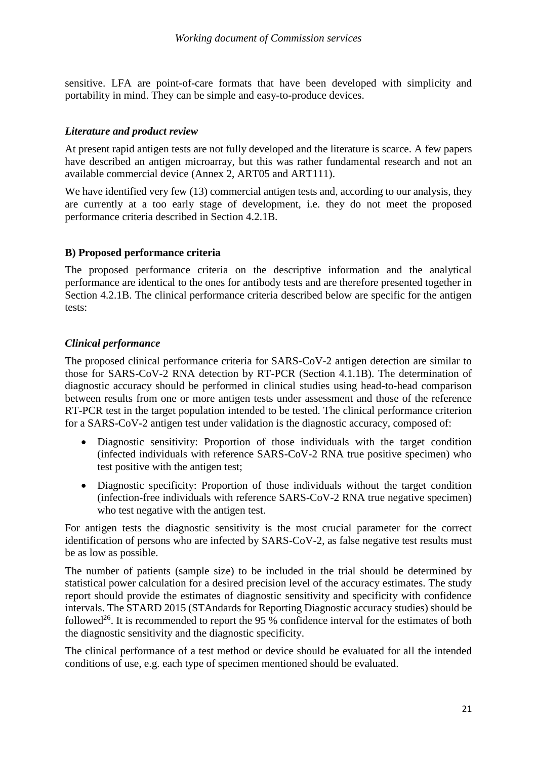sensitive. LFA are point-of-care formats that have been developed with simplicity and portability in mind. They can be simple and easy-to-produce devices.

### *Literature and product review*

At present rapid antigen tests are not fully developed and the literature is scarce. A few papers have described an antigen microarray, but this was rather fundamental research and not an available commercial device (Annex 2, ART05 and ART111).

We have identified very few (13) commercial antigen tests and, according to our analysis, they are currently at a too early stage of development, i.e. they do not meet the proposed performance criteria described in Section 4.2.1B.

#### **B) Proposed performance criteria**

The proposed performance criteria on the descriptive information and the analytical performance are identical to the ones for antibody tests and are therefore presented together in Section 4.2.1B. The clinical performance criteria described below are specific for the antigen tests:

## *Clinical performance*

The proposed clinical performance criteria for SARS-CoV-2 antigen detection are similar to those for SARS-CoV-2 RNA detection by RT-PCR (Section 4.1.1B). The determination of diagnostic accuracy should be performed in clinical studies using head-to-head comparison between results from one or more antigen tests under assessment and those of the reference RT-PCR test in the target population intended to be tested. The clinical performance criterion for a SARS-CoV-2 antigen test under validation is the diagnostic accuracy, composed of:

- Diagnostic sensitivity: Proportion of those individuals with the target condition (infected individuals with reference SARS-CoV-2 RNA true positive specimen) who test positive with the antigen test;
- Diagnostic specificity: Proportion of those individuals without the target condition (infection-free individuals with reference SARS-CoV-2 RNA true negative specimen) who test negative with the antigen test.

For antigen tests the diagnostic sensitivity is the most crucial parameter for the correct identification of persons who are infected by SARS-CoV-2, as false negative test results must be as low as possible.

The number of patients (sample size) to be included in the trial should be determined by statistical power calculation for a desired precision level of the accuracy estimates. The study report should provide the estimates of diagnostic sensitivity and specificity with confidence intervals. The STARD 2015 (STAndards for Reporting Diagnostic accuracy studies) should be followed<sup>26</sup>. It is recommended to report the 95 % confidence interval for the estimates of both the diagnostic sensitivity and the diagnostic specificity.

The clinical performance of a test method or device should be evaluated for all the intended conditions of use, e.g. each type of specimen mentioned should be evaluated.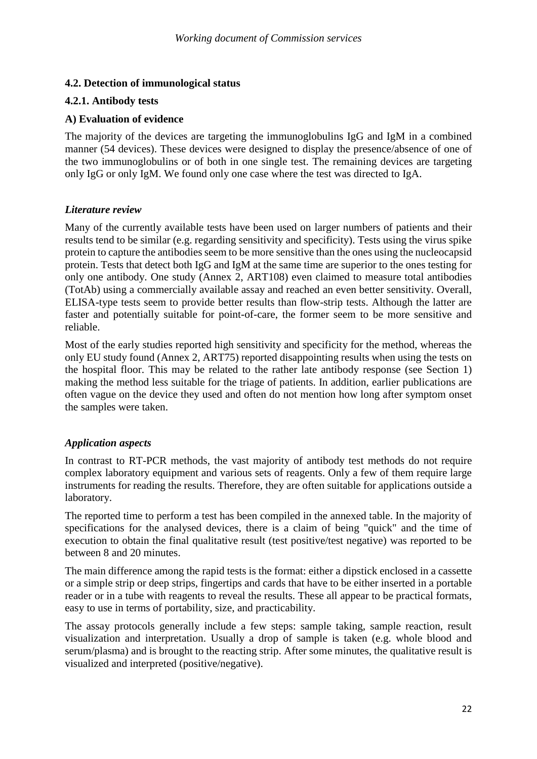## **4.2. Detection of immunological status**

#### **4.2.1. Antibody tests**

### **A) Evaluation of evidence**

The majority of the devices are targeting the immunoglobulins IgG and IgM in a combined manner (54 devices). These devices were designed to display the presence/absence of one of the two immunoglobulins or of both in one single test. The remaining devices are targeting only IgG or only IgM. We found only one case where the test was directed to IgA.

#### *Literature review*

Many of the currently available tests have been used on larger numbers of patients and their results tend to be similar (e.g. regarding sensitivity and specificity). Tests using the virus spike protein to capture the antibodies seem to be more sensitive than the ones using the nucleocapsid protein. Tests that detect both IgG and IgM at the same time are superior to the ones testing for only one antibody. One study (Annex 2, ART108) even claimed to measure total antibodies (TotAb) using a commercially available assay and reached an even better sensitivity. Overall, ELISA-type tests seem to provide better results than flow-strip tests. Although the latter are faster and potentially suitable for point-of-care, the former seem to be more sensitive and reliable.

Most of the early studies reported high sensitivity and specificity for the method, whereas the only EU study found (Annex 2, ART75) reported disappointing results when using the tests on the hospital floor. This may be related to the rather late antibody response (see Section 1) making the method less suitable for the triage of patients. In addition, earlier publications are often vague on the device they used and often do not mention how long after symptom onset the samples were taken.

## *Application aspects*

In contrast to RT-PCR methods, the vast majority of antibody test methods do not require complex laboratory equipment and various sets of reagents. Only a few of them require large instruments for reading the results. Therefore, they are often suitable for applications outside a laboratory.

The reported time to perform a test has been compiled in the annexed table. In the majority of specifications for the analysed devices, there is a claim of being "quick" and the time of execution to obtain the final qualitative result (test positive/test negative) was reported to be between 8 and 20 minutes.

The main difference among the rapid tests is the format: either a dipstick enclosed in a cassette or a simple strip or deep strips, fingertips and cards that have to be either inserted in a portable reader or in a tube with reagents to reveal the results. These all appear to be practical formats, easy to use in terms of portability, size, and practicability.

The assay protocols generally include a few steps: sample taking, sample reaction, result visualization and interpretation. Usually a drop of sample is taken (e.g. whole blood and serum/plasma) and is brought to the reacting strip. After some minutes, the qualitative result is visualized and interpreted (positive/negative).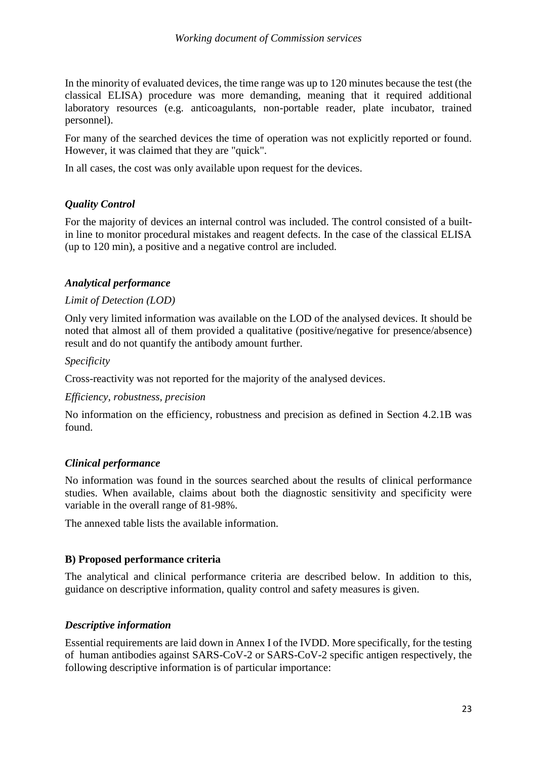In the minority of evaluated devices, the time range was up to 120 minutes because the test (the classical ELISA) procedure was more demanding, meaning that it required additional laboratory resources (e.g. anticoagulants, non-portable reader, plate incubator, trained personnel).

For many of the searched devices the time of operation was not explicitly reported or found. However, it was claimed that they are "quick".

In all cases, the cost was only available upon request for the devices.

## *Quality Control*

For the majority of devices an internal control was included. The control consisted of a builtin line to monitor procedural mistakes and reagent defects. In the case of the classical ELISA (up to 120 min), a positive and a negative control are included.

## *Analytical performance*

## *Limit of Detection (LOD)*

Only very limited information was available on the LOD of the analysed devices. It should be noted that almost all of them provided a qualitative (positive/negative for presence/absence) result and do not quantify the antibody amount further.

#### *Specificity*

Cross-reactivity was not reported for the majority of the analysed devices.

#### *Efficiency, robustness, precision*

No information on the efficiency, robustness and precision as defined in Section 4.2.1B was found.

## *Clinical performance*

No information was found in the sources searched about the results of clinical performance studies. When available, claims about both the diagnostic sensitivity and specificity were variable in the overall range of 81-98%.

The annexed table lists the available information.

## **B) Proposed performance criteria**

The analytical and clinical performance criteria are described below. In addition to this, guidance on descriptive information, quality control and safety measures is given.

## *Descriptive information*

Essential requirements are laid down in Annex I of the IVDD. More specifically, for the testing of human antibodies against SARS-CoV-2 or SARS-CoV-2 specific antigen respectively, the following descriptive information is of particular importance: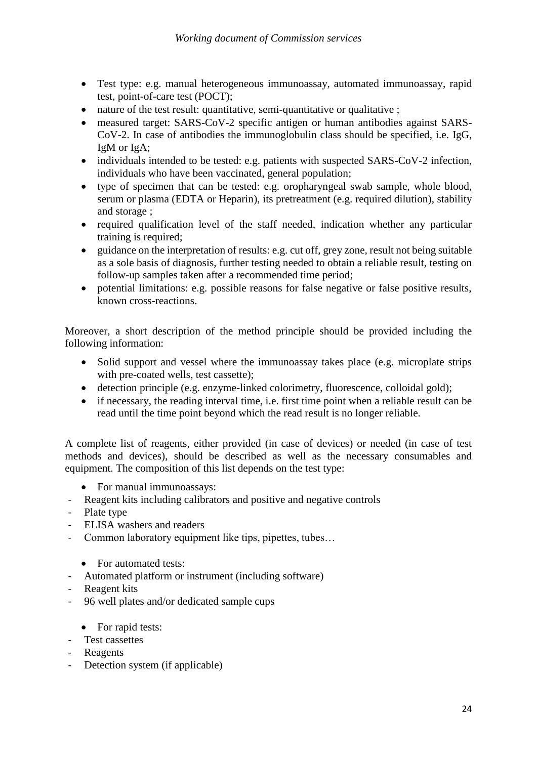- Test type: e.g. manual heterogeneous immunoassay, automated immunoassay, rapid test, point-of-care test (POCT);
- nature of the test result: quantitative, semi-quantitative or qualitative ;
- measured target: SARS-CoV-2 specific antigen or human antibodies against SARS-CoV-2. In case of antibodies the immunoglobulin class should be specified, i.e. IgG, IgM or IgA;
- individuals intended to be tested: e.g. patients with suspected SARS-CoV-2 infection, individuals who have been vaccinated, general population;
- type of specimen that can be tested: e.g. oropharyngeal swab sample, whole blood, serum or plasma (EDTA or Heparin), its pretreatment (e.g. required dilution), stability and storage ;
- required qualification level of the staff needed, indication whether any particular training is required;
- guidance on the interpretation of results: e.g. cut off, grey zone, result not being suitable as a sole basis of diagnosis, further testing needed to obtain a reliable result, testing on follow-up samples taken after a recommended time period;
- potential limitations: e.g. possible reasons for false negative or false positive results, known cross-reactions.

Moreover, a short description of the method principle should be provided including the following information:

- Solid support and vessel where the immunoassay takes place (e.g. microplate strips with pre-coated wells, test cassette);
- detection principle (e.g. enzyme-linked colorimetry, fluorescence, colloidal gold);
- if necessary, the reading interval time, i.e. first time point when a reliable result can be read until the time point beyond which the read result is no longer reliable.

A complete list of reagents, either provided (in case of devices) or needed (in case of test methods and devices), should be described as well as the necessary consumables and equipment. The composition of this list depends on the test type:

- For manual immunoassays:
- Reagent kits including calibrators and positive and negative controls
- Plate type
- ELISA washers and readers
- Common laboratory equipment like tips, pipettes, tubes…
	- For automated tests:
- Automated platform or instrument (including software)
- Reagent kits
- 96 well plates and/or dedicated sample cups
	- For rapid tests:
- Test cassettes
- Reagents
- Detection system (if applicable)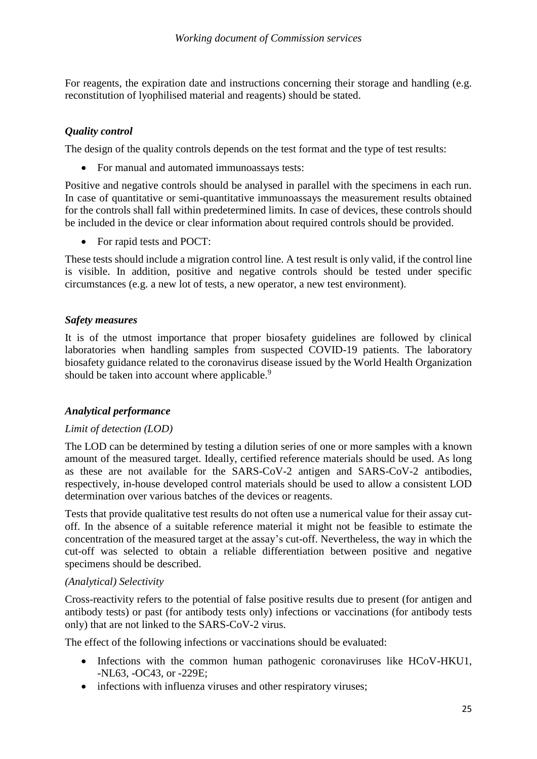For reagents, the expiration date and instructions concerning their storage and handling (e.g. reconstitution of lyophilised material and reagents) should be stated.

## *Quality control*

The design of the quality controls depends on the test format and the type of test results:

• For manual and automated immunoassays tests:

Positive and negative controls should be analysed in parallel with the specimens in each run. In case of quantitative or semi-quantitative immunoassays the measurement results obtained for the controls shall fall within predetermined limits. In case of devices, these controls should be included in the device or clear information about required controls should be provided.

• For rapid tests and POCT:

These tests should include a migration control line. A test result is only valid, if the control line is visible. In addition, positive and negative controls should be tested under specific circumstances (e.g. a new lot of tests, a new operator, a new test environment).

#### *Safety measures*

It is of the utmost importance that proper biosafety guidelines are followed by clinical laboratories when handling samples from suspected COVID-19 patients. The [laboratory](https://www.who.int/publications-detail/laboratory-biosafety-guidance-related-to-coronavirus-disease-2019-(covid-19))  [biosafety guidance related to the coronavirus disease](https://www.who.int/publications-detail/laboratory-biosafety-guidance-related-to-coronavirus-disease-2019-(covid-19)) issued by the World Health Organization should be taken into account where applicable.<sup>9</sup>

## *Analytical performance*

## *Limit of detection (LOD)*

The LOD can be determined by testing a dilution series of one or more samples with a known amount of the measured target. Ideally, certified reference materials should be used. As long as these are not available for the SARS-CoV-2 antigen and SARS-CoV-2 antibodies, respectively, in-house developed control materials should be used to allow a consistent LOD determination over various batches of the devices or reagents.

Tests that provide qualitative test results do not often use a numerical value for their assay cutoff. In the absence of a suitable reference material it might not be feasible to estimate the concentration of the measured target at the assay's cut-off. Nevertheless, the way in which the cut-off was selected to obtain a reliable differentiation between positive and negative specimens should be described.

#### *(Analytical) Selectivity*

Cross-reactivity refers to the potential of false positive results due to present (for antigen and antibody tests) or past (for antibody tests only) infections or vaccinations (for antibody tests only) that are not linked to the SARS-CoV-2 virus.

The effect of the following infections or vaccinations should be evaluated:

- Infections with the common human pathogenic coronaviruses like HCoV-HKU1, -NL63, -OC43, or -229E;
- infections with influenza viruses and other respiratory viruses;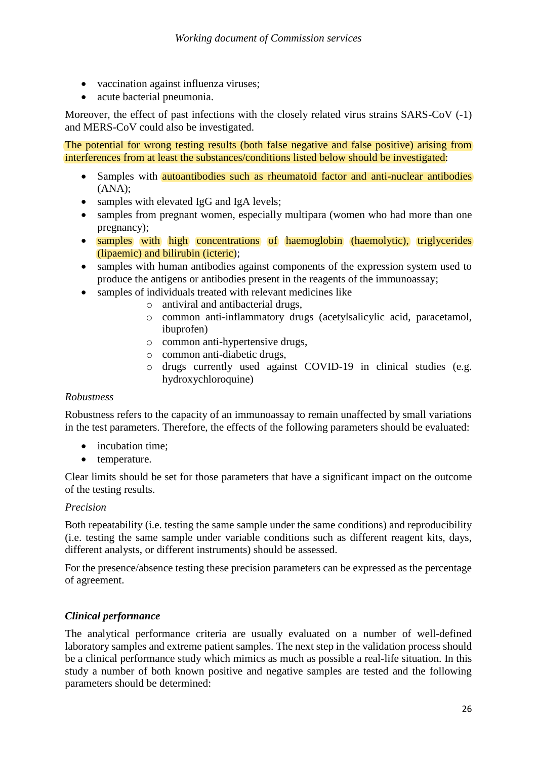- vaccination against influenza viruses;
- acute bacterial pneumonia.

Moreover, the effect of past infections with the closely related virus strains SARS-CoV  $(-1)$ and MERS-CoV could also be investigated.

The potential for wrong testing results (both false negative and false positive) arising from interferences from at least the substances/conditions listed below should be investigated:

- Samples with **autoantibodies such as rheumatoid factor and anti-nuclear antibodies** (ANA);
- samples with elevated IgG and IgA levels;
- samples from pregnant women, especially multipara (women who had more than one pregnancy);
- samples with high concentrations of haemoglobin (haemolytic), triglycerides (lipaemic) and bilirubin (icteric);
- samples with human antibodies against components of the expression system used to produce the antigens or antibodies present in the reagents of the immunoassay;
- samples of individuals treated with relevant medicines like
	- o antiviral and antibacterial drugs,
	- o common anti-inflammatory drugs (acetylsalicylic acid, paracetamol, ibuprofen)
	- o common anti-hypertensive drugs,
	- o common anti-diabetic drugs,
	- o drugs currently used against COVID-19 in clinical studies (e.g. hydroxychloroquine)

#### *Robustness*

Robustness refers to the capacity of an immunoassay to remain unaffected by small variations in the test parameters. Therefore, the effects of the following parameters should be evaluated:

- incubation time;
- temperature.

Clear limits should be set for those parameters that have a significant impact on the outcome of the testing results.

#### *Precision*

Both repeatability (i.e. testing the same sample under the same conditions) and reproducibility (i.e. testing the same sample under variable conditions such as different reagent kits, days, different analysts, or different instruments) should be assessed.

For the presence/absence testing these precision parameters can be expressed as the percentage of agreement.

#### *Clinical performance*

The analytical performance criteria are usually evaluated on a number of well-defined laboratory samples and extreme patient samples. The next step in the validation process should be a clinical performance study which mimics as much as possible a real-life situation. In this study a number of both known positive and negative samples are tested and the following parameters should be determined: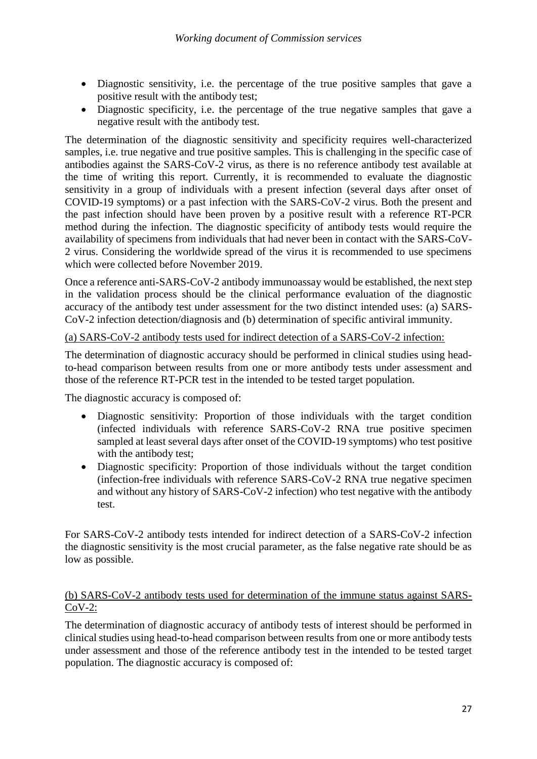- Diagnostic sensitivity, i.e. the percentage of the true positive samples that gave a positive result with the antibody test;
- Diagnostic specificity, i.e. the percentage of the true negative samples that gave a negative result with the antibody test.

The determination of the diagnostic sensitivity and specificity requires well-characterized samples, i.e. true negative and true positive samples. This is challenging in the specific case of antibodies against the SARS-CoV-2 virus, as there is no reference antibody test available at the time of writing this report. Currently, it is recommended to evaluate the diagnostic sensitivity in a group of individuals with a present infection (several days after onset of COVID-19 symptoms) or a past infection with the SARS-CoV-2 virus. Both the present and the past infection should have been proven by a positive result with a reference RT-PCR method during the infection. The diagnostic specificity of antibody tests would require the availability of specimens from individuals that had never been in contact with the SARS-CoV-2 virus. Considering the worldwide spread of the virus it is recommended to use specimens which were collected before November 2019.

Once a reference anti-SARS-CoV-2 antibody immunoassay would be established, the next step in the validation process should be the clinical performance evaluation of the diagnostic accuracy of the antibody test under assessment for the two distinct intended uses: (a) SARS-CoV-2 infection detection/diagnosis and (b) determination of specific antiviral immunity.

## (a) SARS-CoV-2 antibody tests used for indirect detection of a SARS-CoV-2 infection:

The determination of diagnostic accuracy should be performed in clinical studies using headto-head comparison between results from one or more antibody tests under assessment and those of the reference RT-PCR test in the intended to be tested target population.

The diagnostic accuracy is composed of:

- Diagnostic sensitivity: Proportion of those individuals with the target condition (infected individuals with reference SARS-CoV-2 RNA true positive specimen sampled at least several days after onset of the COVID-19 symptoms) who test positive with the antibody test;
- Diagnostic specificity: Proportion of those individuals without the target condition (infection-free individuals with reference SARS-CoV-2 RNA true negative specimen and without any history of SARS-CoV-2 infection) who test negative with the antibody test.

For SARS-CoV-2 antibody tests intended for indirect detection of a SARS-CoV-2 infection the diagnostic sensitivity is the most crucial parameter, as the false negative rate should be as low as possible.

## (b) SARS-CoV-2 antibody tests used for determination of the immune status against SARS-CoV-2:

The determination of diagnostic accuracy of antibody tests of interest should be performed in clinical studies using head-to-head comparison between results from one or more antibody tests under assessment and those of the reference antibody test in the intended to be tested target population. The diagnostic accuracy is composed of: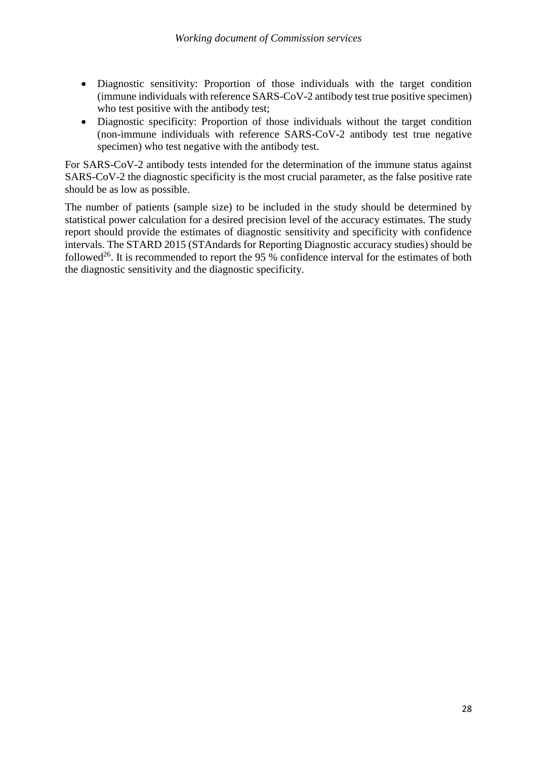- Diagnostic sensitivity: Proportion of those individuals with the target condition (immune individuals with reference SARS-CoV-2 antibody test true positive specimen) who test positive with the antibody test;
- Diagnostic specificity: Proportion of those individuals without the target condition (non-immune individuals with reference SARS-CoV-2 antibody test true negative specimen) who test negative with the antibody test.

For SARS-CoV-2 antibody tests intended for the determination of the immune status against SARS-CoV-2 the diagnostic specificity is the most crucial parameter, as the false positive rate should be as low as possible.

The number of patients (sample size) to be included in the study should be determined by statistical power calculation for a desired precision level of the accuracy estimates. The study report should provide the estimates of diagnostic sensitivity and specificity with confidence intervals. The STARD 2015 (STAndards for Reporting Diagnostic accuracy studies) should be followed<sup>26</sup>. It is recommended to report the 95 % confidence interval for the estimates of both the diagnostic sensitivity and the diagnostic specificity.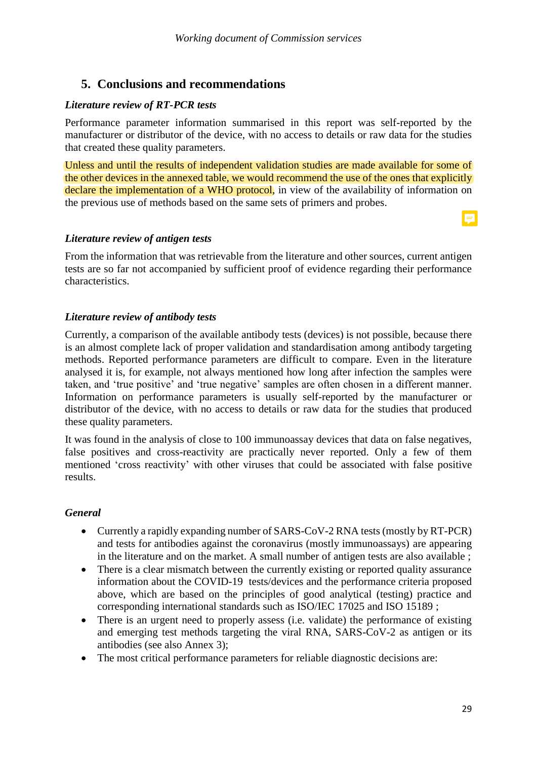# **5. Conclusions and recommendations**

## *Literature review of RT-PCR tests*

Performance parameter information summarised in this report was self-reported by the manufacturer or distributor of the device, with no access to details or raw data for the studies that created these quality parameters.

Unless and until the results of independent validation studies are made available for some of the other devices in the annexed table, we would recommend the use of the ones that explicitly declare the implementation of a WHO protocol, in view of the availability of information on the previous use of methods based on the same sets of primers and probes.

## *Literature review of antigen tests*

From the information that was retrievable from the literature and other sources, current antigen tests are so far not accompanied by sufficient proof of evidence regarding their performance characteristics.

## *Literature review of antibody tests*

Currently, a comparison of the available antibody tests (devices) is not possible, because there is an almost complete lack of proper validation and standardisation among antibody targeting methods. Reported performance parameters are difficult to compare. Even in the literature analysed it is, for example, not always mentioned how long after infection the samples were taken, and 'true positive' and 'true negative' samples are often chosen in a different manner. Information on performance parameters is usually self-reported by the manufacturer or distributor of the device, with no access to details or raw data for the studies that produced these quality parameters.

It was found in the analysis of close to 100 immunoassay devices that data on false negatives, false positives and cross-reactivity are practically never reported. Only a few of them mentioned 'cross reactivity' with other viruses that could be associated with false positive results.

## *General*

- Currently a rapidly expanding number of SARS-CoV-2 RNA tests (mostly by RT-PCR) and tests for antibodies against the coronavirus (mostly immunoassays) are appearing in the literature and on the market. A small number of antigen tests are also available ;
- There is a clear mismatch between the currently existing or reported quality assurance information about the COVID-19 tests/devices and the performance criteria proposed above, which are based on the principles of good analytical (testing) practice and corresponding international standards such as ISO/IEC 17025 and ISO 15189 ;
- There is an urgent need to properly assess (i.e. validate) the performance of existing and emerging test methods targeting the viral RNA, SARS-CoV-2 as antigen or its antibodies (see also Annex 3);
- The most critical performance parameters for reliable diagnostic decisions are:

 $\blacksquare$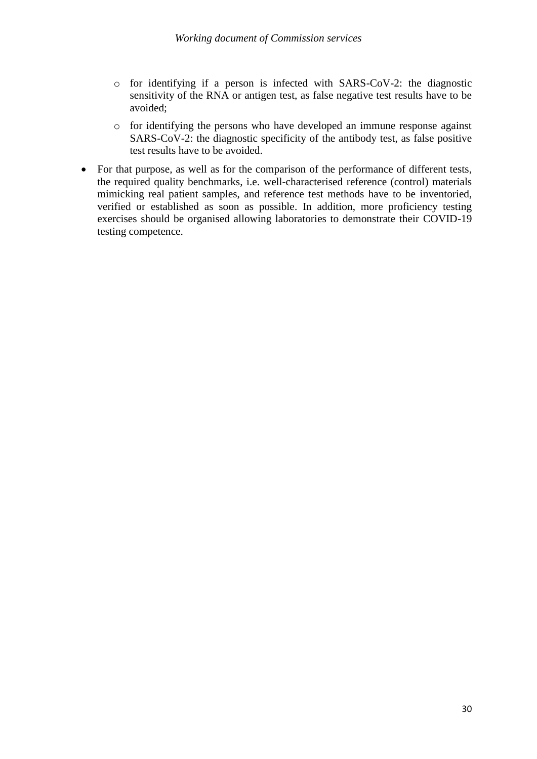- o for identifying if a person is infected with SARS-CoV-2: the diagnostic sensitivity of the RNA or antigen test, as false negative test results have to be avoided;
- o for identifying the persons who have developed an immune response against SARS-CoV-2: the diagnostic specificity of the antibody test, as false positive test results have to be avoided.
- For that purpose, as well as for the comparison of the performance of different tests, the required quality benchmarks, i.e. well-characterised reference (control) materials mimicking real patient samples, and reference test methods have to be inventoried, verified or established as soon as possible. In addition, more proficiency testing exercises should be organised allowing laboratories to demonstrate their COVID-19 testing competence.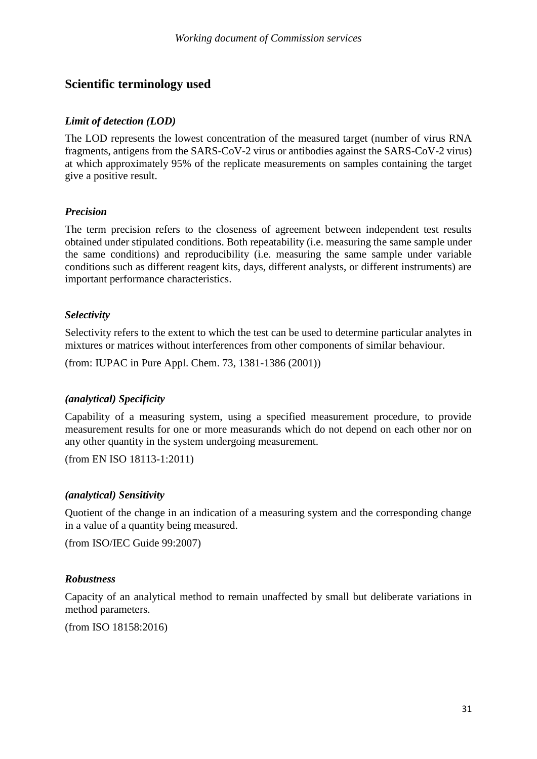# **Scientific terminology used**

## *Limit of detection (LOD)*

The LOD represents the lowest concentration of the measured target (number of virus RNA fragments, antigens from the SARS-CoV-2 virus or antibodies against the SARS-CoV-2 virus) at which approximately 95% of the replicate measurements on samples containing the target give a positive result.

## *Precision*

The term precision refers to the closeness of agreement between independent test results obtained under stipulated conditions. Both repeatability (i.e. measuring the same sample under the same conditions) and reproducibility (i.e. measuring the same sample under variable conditions such as different reagent kits, days, different analysts, or different instruments) are important performance characteristics.

#### *Selectivity*

Selectivity refers to the extent to which the test can be used to determine particular analytes in mixtures or matrices without interferences from other components of similar behaviour.

(from: IUPAC in Pure Appl. Chem. 73, 1381-1386 (2001))

## *(analytical) Specificity*

Capability of a measuring system, using a specified measurement procedure, to provide measurement results for one or more measurands which do not depend on each other nor on any other quantity in the system undergoing measurement.

(from EN ISO 18113-1:2011)

#### *(analytical) Sensitivity*

Quotient of the change in an indication of a measuring system and the corresponding change in a value of a quantity being measured.

(from ISO/IEC Guide 99:2007)

## *Robustness*

Capacity of an [analytical method t](https://www.iso.org/obp/ui/#:term:2.3.3)o remain unaffected by small but deliberate variations in method parameters.

(from ISO 18158:2016)